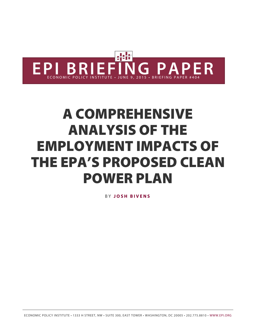

# A COMPREHENSIVE ANALYSIS OF THE EMPLOYMENT IMPACTS OF THE EPA'S PROPOSED CLEAN POWER PLAN

B Y **[JOSH BIVENS](http://www.epi.org/people/josh-bivens/)**

ECONOMIC POLICY INSTITUTE • 1333 H STREET, NW • SUITE 300, EAST TOWER • WASHINGTON, DC 20005 • 202.775.8810 • [WWW.EPI.ORG](http://www.epi.org/)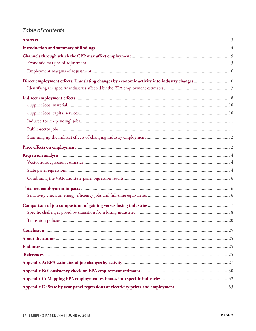### **Table of contents**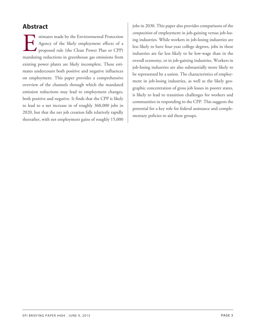### <span id="page-2-0"></span>**Abstract**

stimates made by the Environmental Protection<br>Agency of the likely employment effects of a<br>proposed rule (the Clean Power Plan or CPP)<br>mandating reductions in greenhouse gas emissions from stimates made by the Environmental Protection Agency of the likely employment effects of a proposed rule (the Clean Power Plan or CPP) existing power plants are likely incomplete. These estimates undercount both positive and negative influences on employment. This paper provides a comprehensive overview of the channels through which the mandated emission reductions may lead to employment changes, both positive and negative. It finds that the CPP is likely to lead to a net increase in of roughly 360,000 jobs in 2020, but that the net job creation falls relatively rapidly thereafter, with net employment gains of roughly 15,000

jobs in 2030. This paper also provides comparisons of the *composition* of employment in job-gaining versus job-losing industries. While workers in job-losing industries are less likely to have four-year college degrees, jobs in these industries are far less likely to be low-wage than in the overall economy, or in job-gaining industries. Workers in job-losing industries are also substantially more likely to be represented by a union. The characteristics of employment in job-losing industries, as well as the likely geographic concentration of gross job losses in poorer states, is likely to lead to transition challenges for workers and communities in responding to the CPP. This suggests the potential for a key role for federal assistance and complementary policies to aid these groups.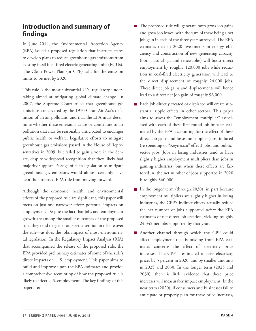### <span id="page-3-0"></span>**Introduction and summary of findings**

In June 2014, the Environmental Protection Agency (EPA) issued a proposed regulation that instructs states to develop plans to reduce greenhouse gas emissions from existing fossil fuel–fired electric generating units (EGUs). The Clean Power Plan (or CPP) calls for the emission limits to be met by 2020.

This rule is the most substantial U.S. regulatory undertaking aimed at mitigating global climate change. In 2007, the Supreme Court ruled that greenhouse gas emissions are covered by the 1970 Clean Air Act's definition of an air pollutant, and that the EPA must determine whether these emissions cause or contribute to air pollution that may be reasonably anticipated to endanger public health or welfare. Legislative efforts to mitigate greenhouse gas emissions passed in the House of Representatives in 2009, but failed to gain a vote in the Senate, despite widespread recognition that they likely had majority support. Passage of such legislation to mitigate greenhouse gas emissions would almost certainly have kept the proposed EPA rule from moving forward.

Although the economic, health, and environmental effects of the proposed rule are significant, this paper will focus on just one narrower effect: potential impacts on employment. Despite the fact that jobs and employment growth are among the smaller outcomes of the proposed rule, they tend to garner outsized attention in debate over the rule—as does the jobs impact of most environmental legislation. In the Regulatory Impact Analysis (RIA) that accompanied the release of the proposed rule, the EPA provided preliminary estimates of some of the rule's direct impacts on U.S. employment. This paper aims to build and improve upon the EPA estimates and provide a comprehensive accounting of how the proposed rule is likely to affect U.S. employment. The key findings of this paper are:

- The proposed rule will generate both gross job gains  $\mathcal{L}_{\mathcal{A}}$ and gross job losses, with the sum of these being a net job gain in each of the three years surveyed. The EPA estimates that in 2020 investments in energy efficiency and construction of new generating capacity (both natural gas and renewables) will boost direct employment by roughly 120,000 jobs while reduction in coal-fired electricity generation will lead to the direct displacement of roughly 24,000 jobs. These direct job gains and displacements will hence lead to a direct net job gain of roughly 96,000.
- Each job directly created or displaced will create substantial ripple effects in other sectors. This paper aims to assess the "employment multiplier" associated with each of these first-round job impacts estimated by the EPA, accounting for the effect of these direct job gains and losses on supplier jobs, induced (re-spending or "Keynesian" effect) jobs, and publicsector jobs. Jobs in losing industries tend to have slightly higher employment multipliers than jobs in gaining industries, but when these effects are factored in, the net number of jobs supported in 2020 is roughly 360,000.
- In the longer term (through 2030), in part because employment multipliers are slightly higher in losing industries, the CPP's indirect effects actually reduce the net number of jobs supported *below* the EPA estimates of net direct job creation, yielding roughly 24,342 net jobs supported by that year.
- Another channel through which the CPP could affect employment that is missing from EPA estimates concerns the effect of electricity price increases. The CPP is estimated to raise electricity prices by 5 percent in 2020, and by smaller amounts in 2025 and 2030. In the longer term (2025 and 2030), there is little evidence that these price increases will measurably impact employment. In the near term (2020), if consumers and businesses fail to anticipate or properly plan for these price increases,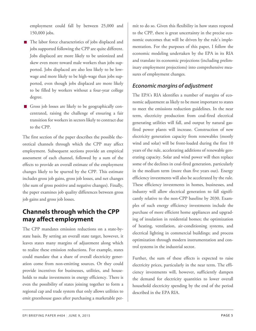employment could fall by between 25,000 and 150,000 jobs.

- The labor force characteristics of jobs displaced and jobs supported following the CPP are quite different. Jobs displaced are more likely to be unionized and skew even more toward male workers than jobs supported. Jobs displaced are also less likely to be lowwage and more likely to be high-wage than jobs supported, even though jobs displaced are more likely to be filled by workers without a four-year college degree.
- <span id="page-4-1"></span>Gross job losses are likely to be geographically concentrated, raising the challenge of ensuring a fair transition for workers in sectors likely to contract due to the CPP.

The first section of the paper describes the possible theoretical channels through which the CPP may affect employment. Subsequent sections provide an empirical assessment of each channel, followed by a sum of the effects to provide an overall estimate of the employment changes likely to be spurred by the CPP. This estimate includes gross job gains, gross job losses, and net changes (the sum of gross positive and negative changes). Finally, the paper examines job quality differences between gross job gains and gross job losses.

### <span id="page-4-0"></span>**Channels through which the CPP may affect employment**

The CPP mandates emission reductions on a state-bystate basis. By setting an overall state target, however, it leaves states many margins of adjustment along which to realize these emission reductions. For example, states could mandate that a share of overall electricity generation come from non-emitting sources. Or they could provide incentives for businesses, utilities, and households to make investments in energy efficiency. There is even the possibility of states joining together to form a regional cap and trade system that only allows utilities to emit greenhouse gases after purchasing a marketable per-

mit to do so. Given this flexibility in how states respond to the CPP, there is great uncertainty in the precise economic outcomes that will be driven by the rule's implementation. For the purposes of this paper, I follow the economic modeling undertaken by the EPA in its RIA and translate its economic projections (including preliminary employment projections) into comprehensive measures of employment changes.

### *Economic margins of adjustment*

The EPA's RIA identifies a number of margins of economic adjustment as likely to be most important to states to meet the emissions reduction guidelines. In the near term, electricity production from coal-fired electrical generating utilities will fall, and output by natural gasfired power plants will increase. Construction of new electricity generation capacity from renewables (mostly wind and solar) will be front-loaded during the first 10 years of the rule, accelerating additions of renewable generating capacity. Solar and wind power will then replace some of the declines in coal-fired generation, particularly in the medium term (more than five years out). Energy efficiency investments will also be accelerated by the rule. These efficiency investments in homes, businesses, and industry will allow electrical generation to fall significantly relative to the non-CPP baseline by 2030. Examples of such energy efficiency investments include the purchase of more efficient home appliances and upgrading of insulation in residential homes; the optimization of heating, ventilation, air-conditioning systems, and electrical lighting in commercial buildings; and process optimization through modern instrumentation and control systems in the industrial sector.

Further, the sum of these effects is expected to raise electricity prices, particularly in the near term. The efficiency investments will, however, sufficiently dampen the demand for electricity quantities to lower overall household electricity spending by the end of the period described in the EPA RIA.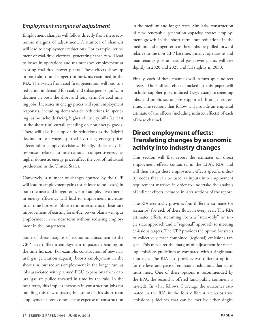### <span id="page-5-0"></span>*Employment margins of adjustment*

Employment changes will follow directly from these economic margins of adjustment. A number of channels will lead to employment reductions. For example, retirement of coal-fired electrical generating capacity will lead to losses in operations and maintenance employment at existing coal-fired power plants. These effects show up in both short- and longer-run horizons examined in the RIA. The switch from coal-fired generation will lead to a reduction in demand for coal, and subsequent significant declines in both the short and long term for coal mining jobs. Increases in energy prices will spur employment responses, including demand-side reductions in spending, as households facing higher electricity bills (at least in the short run) curtail spending on non-energy goods. There will also be supply-side reductions as the (slight) decline in real wages spurred by rising energy prices affects labor supply decisions. Finally, there may be responses related to international competitiveness, as higher domestic energy prices affect the cost of industrial production in the United States.

<span id="page-5-1"></span>Conversely, a number of changes spurred by the CPP will lead to employment gains (or at least to no losses) in both the near and longer term. For example, investments in energy efficiency will lead to employment increases in all time horizons. Short-term investments in heat rate improvement of existing fossil-fuel power plants will spur employment in the near term without reducing employment in the longer term.

Some of these margins of economic adjustment to the CPP have different employment impacts depending on the time horizon. For example, construction of new natural gas generation capacity boosts employment in the short run, but reduces employment in the longer run, as jobs associated with planned EGU expansions from natural gas are pulled forward in time by the rule. In the near term, this implies increases in construction jobs for building this new capacity, but some of this short-term employment boost comes at the expense of construction

in the medium and longer term. Similarly, construction of new renewable generation capacity creates employment growth in the short term, but reductions in the medium and longer term as these jobs are pulled forward relative to the non-CPP baseline. Finally, operations and maintenance jobs at natural gas power plants will rise slightly in 2020 and 2025 and fall slightly in 2030.

Finally, each of these channels will in turn spur indirect effects. The indirect effects tracked in this paper will include: supplier jobs, induced (Keynesian) re-spending jobs, and public-sector jobs supported through tax revenue. The sections that follow will provide an empirical estimate of the effects (including indirect effects) of each of these channels.

### **Direct employment effects: Translating changes by economic activity into industry changes**

This section will first report the estimates on direct employment effects contained in the EPA's RIA, and will then assign these employment effects specific industry codes that can be used as inputs into employment requirement matrices in order to undertake the analysis of indirect effects included in later sections of the report.

The RIA essentially provides four different estimates (or scenarios) for each of these flows in every year. The RIA estimates effects stemming from a "state-only" or single state approach and a "regional" approach to meeting emissions targets. The CPP provides the option for states to collectively meet combined (regional) emissions targets. This may alter the margins of adjustment for meeting emissions guidelines as compared with a single-state approach. The RIA also provides two different options for the level and pace of emissions reductions that states must meet. One of these options is recommended by the EPA; the second is offered (and public comment is invited). In what follows, I average the outcomes estimated in the RIA in the four different scenarios (two emissions guidelines that can be met by either single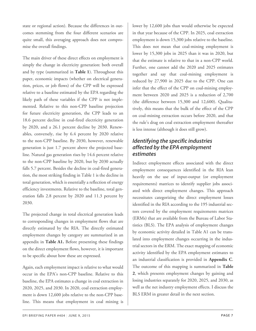state or regional action). Because the differences in outcomes stemming from the four different scenarios are quite small, this averaging approach does not compromise the overall findings.

The main driver of these direct effects on employment is simply the change in electricity generation: both overall and by type (summarized in **Table 1**). Throughout this paper, economic impacts (whether on electrical generation, prices, or job flows) of the CPP will be expressed relative to a baseline estimated by the EPA regarding the likely path of these variables if the CPP is not implemented. Relative to this non-CPP baseline projection for future electricity generation, the CPP leads to an 18.6 percent decline in coal-fired electricity generation by 2020, and a 26.1 percent decline by 2030. Renewables, conversely, rise by 6.4 percent by 2020 relative to the non-CPP baseline. By 2030, however, renewable generation is just 1.7 percent above the projected baseline. Natural gas generation rises by 14.6 percent relative to the non-CPP baseline by 2020, but by 2030 actually falls 5.7 percent. Besides the decline in coal-fired generation, the most striking finding in Table 1 is the decline in total generation, which is essentially a reflection of energy efficiency investments. Relative to the baseline, total generation falls 2.8 percent by 2020 and 11.3 percent by 2030.

<span id="page-6-0"></span>The projected change in total electrical generation leads to corresponding changes in employment flows that are directly estimated by the RIA. The directly estimated employment changes by category are summarized in an appendix in **Table A1.** Before presenting these findings on the direct employment flows, however, it is important to be specific about how these are expressed.

Again, each employment impact is relative to what would occur in the EPA's non-CPP baseline. Relative to this baseline, the EPA estimates a change in coal extraction in 2020, 2025, and 2030. In 2020, coal extraction employment is down 12,600 jobs relative to the non-CPP baseline. This means that employment in coal mining is lower by 12,600 jobs than would otherwise be expected in that year because of the CPP. In 2025, coal extraction employment is down 15,300 jobs relative to the baseline. This does not mean that coal-mining employment is lower by 15,300 jobs in 2025 than it was in 2020, but that the estimate is relative to that in a non-CPP world. Further, one cannot add the 2020 and 2025 estimates together and say that coal-mining employment is reduced by 27,900 in 2025 due to the CPP. One can infer that the effect of the CPP on coal-mining employment between 2020 and 2025 is a reduction of 2,700 (the difference between 15,300 and 12,600). Qualitatively, this means that the bulk of the effect of the CPP on coal-mining extraction occurs before 2020, and that the rule's drag on coal extraction employment thereafter is less intense (although it does still grow).

### *Identifying the specific industries affected by the EPA employment estimates*

Indirect employment effects associated with the direct employment consequences identified in the RIA lean heavily on the use of input-output (or employment requirements) matrices to identify supplier jobs associated with direct employment changes. This approach necessitates categorizing the direct employment losses identified in the RIA according to the 195 industrial sectors covered by the employment requirements matrices (ERMs) that are available from the Bureau of Labor Statistics (BLS). The EPA analysis of employment changes by economic activity detailed in Table A1 can be translated into employment changes occurring in the industrial sectors in the ERM. The exact mapping of economic activity identified by the EPA employment estimates to an industrial classification is provided in **Appendix C**. The outcome of this mapping is summarized in **Table 2**, which presents employment changes by gaining and losing industries separately for 2020, 2025, and 2030, as well as the net industry employment effects. I discuss the BLS ERM in greater detail in the next section.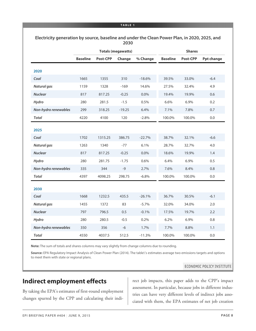#### **Electricity generation by source, baseline and under the Clean Power Plan, in 2020, 2025, and 2030**

|                      |                 |                 | <b>Totals (megawatts)</b> |          | <b>Shares</b>   |          |                   |  |
|----------------------|-----------------|-----------------|---------------------------|----------|-----------------|----------|-------------------|--|
|                      | <b>Baseline</b> | <b>Post-CPP</b> | Change                    | % Change | <b>Baseline</b> | Post-CPP | <b>Ppt change</b> |  |
| 2020                 |                 |                 |                           |          |                 |          |                   |  |
| Coal                 | 1665            | 1355            | 310                       | $-18.6%$ | 39.5%           | 33.0%    | $-6.4$            |  |
| <b>Natural gas</b>   | 1159            | 1328            | $-169$                    | 14.6%    | 27.5%           | 32.4%    | 4.9               |  |
| <b>Nuclear</b>       | 817             | 817.25          | $-0.25$                   | 0.0%     | 19.4%           | 19.9%    | 0.6               |  |
| Hydro                | 280             | 281.5           | $-1.5$                    | 0.5%     | 6.6%            | 6.9%     | 0.2               |  |
| Non-hydro renewables | 299             | 318.25          | $-19.25$                  | 6.4%     | 7.1%            | 7.8%     | 0.7               |  |
| <b>Total</b>         | 4220            | 4100            | 120                       | $-2.8%$  | 100.0%          | 100.0%   | 0.0               |  |
| 2025                 |                 |                 |                           |          |                 |          |                   |  |
| Coal                 | 1702            | 1315.25         | 386.75                    | $-22.7%$ | 38.7%           | 32.1%    | $-6.6$            |  |
| <b>Natural gas</b>   | 1263            | 1340            | $-77$                     | 6.1%     | 28.7%           | 32.7%    | 4.0               |  |
| <b>Nuclear</b>       | 817             | 817.25          | $-0.25$                   | 0.0%     | 18.6%           | 19.9%    | 1.4               |  |
| Hydro                | 280             | 281.75          | $-1.75$                   | 0.6%     | 6.4%            | 6.9%     | 0.5               |  |
| Non-hydro renewables | 335             | 344             | $-9$                      | 2.7%     | 7.6%            | 8.4%     | 0.8               |  |
| <b>Total</b>         | 4397            | 4098.25         | 298.75                    | $-6.8%$  | 100.0%          | 100.0%   | 0.0               |  |
| 2030                 |                 |                 |                           |          |                 |          |                   |  |
| Coal                 | 1668            | 1232.5          | 435.5                     | $-26.1%$ | 36.7%           | 30.5%    | $-6.1$            |  |
| <b>Natural gas</b>   | 1455            | 1372            | 83                        | $-5.7%$  | 32.0%           | 34.0%    | 2.0               |  |
| <b>Nuclear</b>       | 797             | 796.5           | 0.5                       | $-0.1%$  | 17.5%           | 19.7%    | 2.2               |  |
| Hydro                | 280             | 280.5           | $-0.5$                    | 0.2%     | 6.2%            | 6.9%     | 0.8               |  |
| Non-hydro renewables | 350             | 356             | $-6$                      | 1.7%     | 7.7%            | 8.8%     | 1.1               |  |
| <b>Total</b>         | 4550            | 4037.5          | 512.5                     | $-11.3%$ | 100.0%          | 100.0%   | 0.0               |  |

**Note:** The sum of totals and shares columns may vary slightly from change columns due to rounding.

**Source:** EPA Regulatory Impact Analysis of Clean Power Plan (2014). The table\'s estimates average two emissions targets and options to meet them with state or regional plans.

#### ECONOMIC POLICY INSTITUTE

### <span id="page-7-0"></span>**Indirect employment effects**

By taking the EPA's estimates of first-round employment changes spurred by the CPP and calculating their indi-

rect job impacts, this paper adds to the CPP's impact assessment. In particular, because jobs in different industries can have very different levels of indirect jobs associated with them, the EPA estimates of net job creation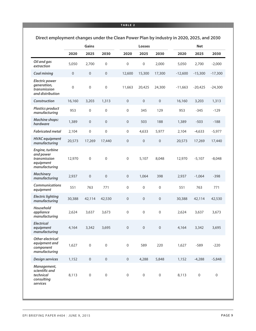#### **TABLE 2**

|                                                                            | <b>Gains</b>     |                  |                  |                  | Losses           |                  | <b>Net</b> |                  |           |  |
|----------------------------------------------------------------------------|------------------|------------------|------------------|------------------|------------------|------------------|------------|------------------|-----------|--|
|                                                                            | 2020             | 2025             | 2030             | 2020             | 2025             | 2030             | 2020       | 2025             | 2030      |  |
| Oil and gas<br>extraction                                                  | 5,050            | 2,700            | 0                | 0                | 0                | 2,000            | 5,050      | 2,700            | $-2,000$  |  |
| Coal mining                                                                | $\mathbf{0}$     | $\mathbf 0$      | $\mathbf 0$      | 12,600           | 15,300           | 17,300           | $-12,600$  | $-15,300$        | $-17,300$ |  |
| <b>Electric power</b><br>generation,<br>transmission<br>and distribution   | $\boldsymbol{0}$ | $\mathbf 0$      | $\mathbf 0$      | 11,663           | 20,425           | 24,300           | $-11,663$  | $-20,425$        | $-24,300$ |  |
| Construction                                                               | 16,160           | 3,203            | 1,313            | $\boldsymbol{0}$ | $\boldsymbol{0}$ | $\boldsymbol{0}$ | 16,160     | 3,203            | 1,313     |  |
| <b>Plastics product</b><br>manufacturing                                   | 953              | $\boldsymbol{0}$ | $\boldsymbol{0}$ | 0                | 345              | 129              | 953        | $-345$           | $-129$    |  |
| <b>Machine shops:</b><br>hardware                                          | 1,389            | $\boldsymbol{0}$ | $\boldsymbol{0}$ | $\boldsymbol{0}$ | 503              | 188              | 1,389      | $-503$           | $-188$    |  |
| <b>Fabricated metal</b>                                                    | 2,104            | $\boldsymbol{0}$ | 0                | $\boldsymbol{0}$ | 4,633            | 5,977            | 2,104      | $-4,633$         | $-5,977$  |  |
| <b>HVAC</b> equipment<br>manufacturing                                     | 20,573           | 17,269           | 17,440           | $\mathbf 0$      | 0                | 0                | 20,573     | 17,269           | 17,440    |  |
| Engine, turbine<br>and power<br>transmission<br>equipment<br>manufacturing | 12,970           | 0                | 0                | $\mathbf 0$      | 5,107            | 8,048            | 12,970     | $-5,107$         | $-8,048$  |  |
| <b>Machinery</b><br>manufacturing                                          | 2,937            | $\boldsymbol{0}$ | $\boldsymbol{0}$ | $\mathbf 0$      | 1,064            | 398              | 2,937      | $-1,064$         | $-398$    |  |
| <b>Communications</b><br>equipment                                         | 551              | 763              | 771              | 0                | 0                | 0                | 551        | 763              | 771       |  |
| <b>Electric lighting</b><br>manufacturing                                  | 30,388           | 42,114           | 42,530           | $\boldsymbol{0}$ | $\mathbf 0$      | 0                | 30,388     | 42,114           | 42,530    |  |
| Household<br>appliance<br>manufacturing                                    | 2,624            | 3,637            | 3,673            | 0                | 0                | 0                | 2,624      | 3,637            | 3,673     |  |
| <b>Electrical</b><br>equipment<br>manufacturing                            | 4,164            | 3,342            | 3,695            | $\boldsymbol{0}$ | $\mathbf 0$      | 0                | 4,164      | 3,342            | 3,695     |  |
| <b>Other electrical</b><br>equipment and<br>component<br>manufacturing     | 1,627            | 0                | 0                | 0                | 589              | 220              | 1,627      | $-589$           | $-220$    |  |
| <b>Design services</b>                                                     | 1,152            | $\boldsymbol{0}$ | $\boldsymbol{0}$ | $\boldsymbol{0}$ | 4,288            | 5,848            | 1,152      | $-4,288$         | $-5,848$  |  |
| Management,<br>scientific and<br>technical<br>consulting<br>services       | 8,113            | 0                | 0                | $\boldsymbol{0}$ | 0                | 0                | 8,113      | $\boldsymbol{0}$ | 0         |  |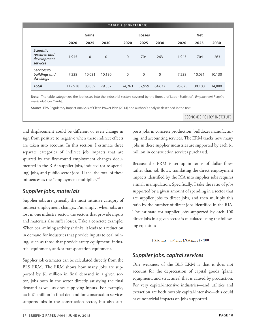| TABLE 2 (CONTINUED)                                          |         |                |                |              |                |              |        |            |        |  |
|--------------------------------------------------------------|---------|----------------|----------------|--------------|----------------|--------------|--------|------------|--------|--|
|                                                              |         | Gains          |                |              | <b>Losses</b>  |              |        | <b>Net</b> |        |  |
|                                                              | 2020    | 2025           | 2030           | 2020         | 2025           | 2030         | 2020   | 2025       | 2030   |  |
| <b>Scientific</b><br>research and<br>development<br>services | 1,945   | $\overline{0}$ | $\overline{0}$ | $\Omega$     | 704            | 263          | 1,945  | $-704$     | $-263$ |  |
| Services to<br>buildings and<br>dwellings                    | 7,238   | 10,031         | 10,130         | $\mathbf{0}$ | $\overline{0}$ | $\mathbf{0}$ | 7,238  | 10,031     | 10,130 |  |
| <b>Total</b>                                                 | 119,938 | 83,059         | 79,552         | 24,263       | 52,959         | 64,672       | 95,675 | 30,100     | 14,880 |  |

**Note:** The table categorizes the job losses into the industrial sectors covered by the Bureau of Labor Statistics\' *Employment Requirements Matrices (ERMs)*.

**Source:** EPA Regulatory Impact Analysis of Clean Power Plan (2014) and author\'s analysis described in the text

ECONOMIC POLICY INSTITUTE

and displacement could be different or even change in sign from positive to negative when these indirect effects are taken into account. In this section, I estimate three separate categories of indirect job impacts that are spurred by the first-round employment changes documented in the RIA: supplier jobs, induced (or re-spending) jobs, and public-sector jobs. I label the total of these influences as the "employment multiplier."<sup>[1](#page-24-3)</sup>

### <span id="page-9-2"></span><span id="page-9-0"></span>*Supplier jobs, materials*

Supplier jobs are generally the most intuitive category of indirect employment changes. Put simply, when jobs are lost in one industry sector, the sectors that provide inputs and materials also suffer losses. Take a concrete example: When coal-mining activity shrinks, it leads to a reduction in demand for industries that provide inputs to coal mining, such as those that provide safety equipment, industrial equipment, and/or transportation equipment.

<span id="page-9-1"></span>Supplier job estimates can be calculated directly from the BLS ERM. The ERM shows how many jobs are supported by \$1 million in final demand in a given sector, jobs both in the sector directly satisfying the final demand as well as ones supplying inputs. For example, each \$1 million in final demand for construction services supports jobs in the construction sector, but also supports jobs in concrete production, bulldozer manufacturing, and accounting services. The ERM tracks how many jobs in these supplier industries are supported by each \$1 million in construction services purchased.

Because the ERM is set up in terms of dollar flows rather than job flows, translating the direct employment impacts identified by the RIA into supplier jobs requires a small manipulation. Specifically, I take the ratio of jobs supported by a given amount of spending in a sector that are supplier jobs to direct jobs, and then multiply this ratio by the number of direct jobs identified in the RIA. The estimate for supplier jobs supported by each 100 direct jobs in a given sector is calculated using the following equation:

$$
((ER_{total} - ER_{direct})/ER_{direct}) * 100
$$

### *Supplier jobs, capital services*

One weakness of the BLS ERM is that it does not account for the depreciation of capital goods (plant, equipment, and structures) that is caused by production. For very capital-intensive industries—and utilities and extraction are both notably capital-intensive—this could have nontrivial impacts on jobs supported.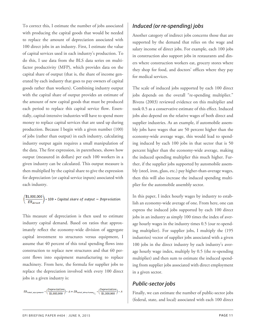<span id="page-10-0"></span>To correct this, I estimate the number of jobs associated with producing the capital goods that would be needed to replace the amount of depreciation associated with 100 direct jobs in an industry. First, I estimate the value of capital services used in each industry's production. To do this, I use data from the BLS data series on multifactor productivity (MFP), which provides data on the capital share of output (that is, the share of income generated by each industry that goes to pay owners of capital goods rather than workers). Combining industry output with the capital share of output provides an estimate of the amount of new capital goods that must be produced each period to replace this capital service flow. Essentially, capital-intensive industries will have to spend more money to replace capital services that are used up during production. Because I begin with a given number (100) of jobs (rather than output) in each industry, calculating industry output again requires a small manipulation of the data. The first expression, in parentheses, shows how output (measured in dollars) per each 100 workers in a given industry can be calculated. This output measure is then multiplied by the capital share to give the expression for depreciation (or capital service inputs) associated with each industry.

## $\left(\frac{\$1,000,000}{ER_{direct}}\right)*100 * Capital share of output = Depreciation$

This measure of depreciation is then used to estimate industry capital demand. Based on ratios that approximately reflect the economy-wide division of aggregate capital investment to structures versus equipment, I assume that 40 percent of this total spending flows into construction to replace new structures and that 60 percent flows into equipment manufacturing to replace machinery. From here, the formula for supplier jobs to replace the depreciation involved with every 100 direct jobs in a given industry is:

<span id="page-10-1"></span> $ER_{total\_equipment} * \Big(\frac{Depreciation}{\$1,000,000}\Big) * .6 + ER_{total\_structures} \underset{l \sqsupset} * \Big(\frac{Depreciation}{\$1,000,000}\Big) * .4$ 

### *Induced (or re-spending) jobs*

Another category of indirect jobs concerns those that are supported by the demand that relies on the wage and salary income of direct jobs. For example, each 100 jobs in construction also support jobs in restaurants and diners where construction workers eat, grocery stores where they shop for food, and doctors' offices where they pay for medical services.

The scale of induced jobs supported by each 100 direct jobs depends on the overall "re-spending multiplier." Bivens (2003) reviewed evidence on this multiplier and took 0.5 as a conservative estimate of this effect. Induced jobs also depend on the relative wages of both direct and supplier industries. As an example, if automobile assembly jobs have wages that are 50 percent higher than the economy-wide average wage, this would lead to spending induced by each 100 jobs in that sector that is 50 percent higher than the economy-wide average, making the induced spending multiplier this much higher. Further, if the supplier jobs supported by automobile assembly (steel, iron, glass, etc.) pay higher-than-average wages, then this will also increase the induced spending multiplier for the automobile assembly sector.

In this paper, I index hourly wages by industry to establish an economy-wide average of one. From here, one can express the induced jobs supported by each 100 direct jobs in an industry as simply 100 times the index of average hourly wages in the industry times 0.5 (our re-spending multiplier). For supplier jobs, I multiply the (195 industries) vector of supplier jobs associated with a given 100 jobs in the direct industry by each industry's average hourly wage index, multiply by 0.5 (the re-spending multiplier) and then sum to estimate the induced spending from supplier jobs associated with direct employment in a given sector.

### *Public-sector jobs*

Finally, we can estimate the number of public-sector jobs (federal, state, and local) associated with each 100 direct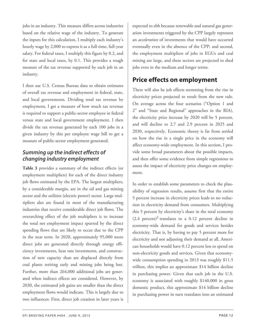jobs in an industry. This measure differs across industries based on the relative wage of the industry. To generate the inputs for this calculation, I multiply each industry's hourly wage by 2,000 to express it as a full-time, full-year salary. For federal taxes, I multiply this figure by 0.2, and for state and local taxes, by 0.1. This provides a rough measure of the tax revenue supported by each job in an industry.

<span id="page-11-1"></span>I then use U.S. Census Bureau data to obtain estimates of overall tax revenue and employment in federal, state, and local governments. Dividing total tax revenue by employment, I get a measure of how much tax revenue is required to support a public-sector employee in federal versus state and local government employment. I then divide the tax revenue generated by each 100 jobs in a given industry by this per employee wage bill to get a measure of public-sector employment generated.

### <span id="page-11-0"></span>*Summing up the indirect effects of changing industry employment*

<span id="page-11-2"></span>**Table 3** provides a summary of the indirect effects (or employment multipliers) for each of the direct industry job flows estimated by the EPA. The largest multipliers, by a considerable margin, are in the oil and gas mining sector and the utilities (electric power) sector. Large multipliers also are found in most of the manufacturing industries that receive considerable direct job flows. The overarching effect of the job multipliers is to increase the total net employment impact spurred by the direct spending flows that are likely to occur due to the CPP in the near term. In 2020, approximately 95,000 more direct jobs are generated directly through energy efficiency investments, heat rate investments, and construction of new capacity than are displaced directly from coal plants retiring early and mining jobs being lost. Further, more than 264,000 additional jobs are generated when indirect effects are considered. However, by 2030, the estimated job gains are smaller than the direct employment flows would indicate. This is largely due to two influences: First, direct job creation in later years is

expected to ebb because renewable and natural gas generation investments triggered by the CPP largely represent an *acceleration* of investments that would have occurred eventually even in the absence of the CPP; and second, the employment multipliers of jobs in EGUs and coal mining are large, and these sectors are projected to shed jobs even in the medium and longer terms.

### **Price effects on employment**

There will also be job effects stemming from the rise in electricity prices projected to result from the new rule. On average across the four scenarios ("Option 1 and 2" and "State and Regional" approaches in the RIA), the electricity price increase by 2020 will be 5 percent, and will decline to 2.7 and 2.9 percent in 2025 and 2030, respectively. Economic theory is far from settled on how the rise in a single price in the economy will affect economy-wide employment. In this section, I provide some broad parameters about the possible impacts, and then offer some evidence from simple regressions to assess the impact of electricity price changes on employment.

In order to establish some parameters to check the plausibility of regression results, assume first that the entire 5 percent increase in electricity prices leads to no reduction in electricity demand from consumers. Multiplying this 5 percent by electricity's share in the total economy  $(2.4 \text{ percent})^2$  $(2.4 \text{ percent})^2$  $(2.4 \text{ percent})^2$  translates to a 0.12 percent decline in economy-wide demand for goods and services besides electricity. That is, by having to pay 5 percent more for electricity and not adjusting their demand at all, American households would have 0.12 percent less to spend on non-electricity goods and services. Given that economywide consumption spending in 2013 was roughly \$11.5 trillion, this implies an approximate \$14 billion decline in purchasing power. Given that each job in the U.S. economy is associated with roughly \$140,000 in gross domestic product, this approximate \$14 billion decline in purchasing power in turn translates into an estimated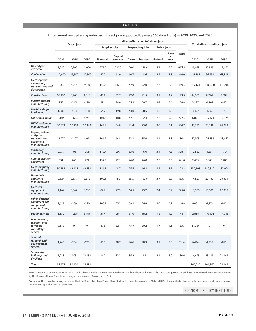#### **TABLE 3**

#### **Employment multipliers by industry (indirect jobs supported by every 100 direct jobs) in 2020, 2025, and 2030**

|                                                                             |           | Direct jobs |           |                  |                     |               | Indirect effects per 100 direct jobs |             |                                    |              |           | Total (direct + indirect) jobs |             |
|-----------------------------------------------------------------------------|-----------|-------------|-----------|------------------|---------------------|---------------|--------------------------------------|-------------|------------------------------------|--------------|-----------|--------------------------------|-------------|
|                                                                             |           |             |           | Supplier jobs    |                     |               | <b>Respending Jobs</b>               | Public jobs |                                    |              |           |                                |             |
|                                                                             | 2020      | 2025        | 2030      | <b>Materials</b> | Capital<br>services | <b>Direct</b> | <b>Indirect</b>                      | Federal     | <b>State</b><br>$\ddot{}$<br>local | <b>Total</b> | 2020      | 2025                           | 2030        |
| Oil and gas<br>extraction                                                   | 5,050     | 2,700       | $-2,000$  | 271.9            | 200.0               | 29.0          | 158.6                                | 4.2         | 9.9                                | 673.5        | 39,063    | 20,885                         | $-15,470$   |
| Coal mining                                                                 | $-12,600$ | $-15,300$   | $-17,300$ | 89.7             | 61.9                | 60.7          | 48.6                                 | 2.4         | 5.8                                | 269.0        | $-46,495$ | $-56,458$                      | $-63,838$   |
| <b>Electric power</b><br>generation,<br>transmission, and<br>distribution   | $-11,663$ | $-20,425$   | $-24,300$ | 152.7            | 187.9               | 47.9          | 72.0                                 | 2.7         | 6.3                                | 469.5        | $-66,423$ | $-116,330$                     | $-138,400$  |
| Construction                                                                | 16,160    | 3,203       | 1,313     | 40.8             | 32.7                | 72.0          | 21.5                                 | 2.1         | 4.9                                | 173.9        | 44,265    | 8,774                          | 3,598       |
| <b>Plastics product</b><br>manufacturing                                    | 953       | $-345$      | $-129$    | 99.6             | 24.6                | 55.9          | 50.7                                 | 2.4         | 5.6                                | 238.8        | 3,227     | $-1,169$                       | $-437$      |
| <b>Machine shops:</b><br>hardware                                           | 1,389     | $-503$      | $-188$    | 54.7             | 19.8                | 43.0          | 28.5                                 | 1.6         | 3.8                                | 151.4        | 3,492     | $-1,265$                       | $-473$      |
| <b>Fabricated metal</b>                                                     | 2,104     | $-4,633$    | $-5,977$  | 101.7            | 18.8                | 47.1          | 52.4                                 | 2.2         | 5.2                                | 227.5        | 6,891     | $-15,174$                      | $-19,575$   |
| <b>HVAC</b> equipment<br>manufacturing                                      | 20,573    | 17,269      | 17,440    | 144.8            | 54.8                | 41.4          | 75.0                                 | 2.6         | 6.1                                | 324.7        | 87,371    | 73,338                         | 74,063      |
| Engine, turbine,<br>and power<br>transmission<br>equipment<br>manufacturing | 12,970    | $-5,107$    | $-8,048$  | 166.2            | 64.5                | 53.3          | 85.9                                 | 3.1         | 7.3                                | 380.4        | 62,303    | $-24,534$                      | $-38,662$   |
| <b>Machinery</b><br>manufacturing                                           | 2,937     | $-1,064$    | $-398$    | 148.7            | 29.7                | 63.6          | 76.0                                 | 3.1         | 7.3                                | 328.4        | 12,582    | $-4,557$                       | $-1,704$    |
| <b>Communications</b><br>equipment                                          | 551       | 763         | 771       | 137.7            | 72.1                | 46.8          | 76.0                                 | 2.7         | 6.5                                | 341.8        | 2,433     | 3,371                          | 3,405       |
| <b>Electric lighting</b><br>manufacturing                                   | 30,388    | 42,114      | 42,530    | 126.5            | 48.7                | 75.5          | 66.8                                 | 3.2         | 7.5                                | 328.2        | 130,108   | 180,312                        | 182,094     |
| Household<br>appliance<br>manufacturing                                     | 2,624     | 3,637       | 3,673     | 198.1            | 75.3                | 65.5          | 102.0                                | 3.7         | 8.8                                | 453.5        | 14,527    | 20,132                         | 20,331      |
| <b>Electrical</b><br>equipment<br>manufacturing                             | 4,164     | 3,342       | 3,695     | 82.7             | 27.3                | 64.5          | 43.2                                 | 2.4         | 5.7                                | 225.8        | 13,566    | 10,889                         | 12,039      |
| Other electrical<br>equipment and<br>component<br>manufacturing             | 1,627     | $-589$      | $-220$    | 108.9            | 35.3                | 59.2          | 56.8                                 | 2.6         | 6.1                                | 268.8        | 6,001     | $-2.174$                       | $-813$      |
| <b>Design services</b>                                                      | 1,152     | $-4,288$    | $-5,848$  | 31.4             | 28.1                | 61.0          | 18.2                                 | 1.8         | 4.2                                | 144.7        | 2,818     | $-10,492$                      | $-14,308$   |
| Management,<br>scientific and<br>technical<br>consulting<br>services        | 8,113     | 0           | 0         | 47.5             | 32.1                | 47.7          | 30.2                                 | 1.7         | 4.1                                | 163.3        | 21,364    | 0                              | $\mathbf 0$ |
| <b>Scientific</b><br>research and<br>development<br>services                | 1,945     | $-704$      | $-263$    | 80.7             | 48.7                | 46.6          | 48.3                                 | 2.1         | 5.0                                | 231.4        | 6,444     | $-2,334$                       | $-873$      |
| Services to<br>buildings and<br>dwellings                                   | 7,238     | 10,031      | 10,130    | 16.7             | 12.3                | 85.2          | 9.3                                  | 2.1         | 5.0                                | 130.6        | 16,693    | 23,135                         | 23,363      |
| <b>Total</b>                                                                | 95,675    | 30,100      | 14,880    |                  |                     |               |                                      |             |                                    |              | 360,229   | 106,352                        | 24,342      |

**Note:** Direct jobs by industry from Table 2 and Table A4. Indirect effects estimated using method described in text. The table categorizes the job losses into the industrial sectors covered by the Bureau of Labor Statistics\' *Employment Requirements Matrices (ERMs).*

Source: Author's analysis using data from the EPA RIA of the Clean Power Plan, BLS Employment Requirements Matrix (ERM), BLS Multifactor Productivity data series, and Census data on government spending and employment

ECONOMIC POLICY INSTITUTE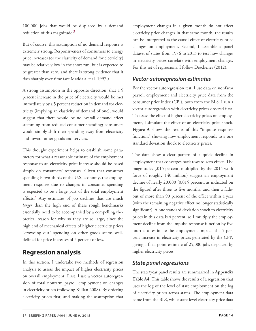<span id="page-13-3"></span>100,000 jobs that would be displaced by a demand reduction of this magnitude. $3$ 

But of course, this assumption of no demand response is extremely strong. Responsiveness of consumers to energy price increases (or the elasticity of demand for electricity) may be relatively low in the short run, but is expected to be greater than zero, and there is strong evidence that it rises sharply over time (see Maddala et al. 1997.)

<span id="page-13-1"></span>A strong assumption in the opposite direction, that a 5 percent increase in the price of electricity would be met immediately by a 5 percent reduction in demand for electricity (implying an elasticity of demand of one), would suggest that there would be no overall demand effect stemming from reduced consumer spending; consumers would simply shift their spending away from electricity and toward other goods and services.

<span id="page-13-4"></span>This thought experiment helps to establish some parameters for what a reasonable estimate of the employment response to an electricity price increase should be based simply on consumers' responses. Given that consumer spending is two-thirds of the U.S. economy, the employment response due to changes in consumer spending is expected to be a large part of the total employment effects.<sup>[4](#page-24-6)</sup> Any estimates of job declines that are much *larger* than the high end of these rough benchmarks essentially need to be accompanied by a compelling theoretical reason for why so they are so large, since the high end of mechanical effects of higher electricity prices "crowding out" spending on other goods seems welldefined for price increases of 5 percent or less.

### <span id="page-13-0"></span>**Regression analysis**

<span id="page-13-2"></span>In this section, I undertake two methods of regression analysis to assess the impact of higher electricity prices on overall employment. First, I use a vector autoregression of total nonfarm payroll employment on changes in electricity prices (following Killian 2008). By ordering electricity prices first, and making the assumption that

employment changes in a given month do not affect electricity price changes in that same month, the results can be interpreted as the causal effect of electricity price changes on employment. Second, I assemble a panel dataset of states from 1976 to 2013 to test how changes in electricity prices correlate with employment changes. For this set of regressions, I follow Deschenes (2012).

### *Vector autoregression estimates*

For the vector autoregression test, I use data on nonfarm payroll employment and electricity price data from the consumer price index (CPI), both from the BLS. I run a vector autoregression with electricity prices ordered first. To assess the effect of higher electricity prices on employment, I simulate the effect of an electricity price shock. **Figure A** shows the results of this "impulse response function," showing how employment responds to a one standard deviation shock to electricity prices.

The data show a clear pattern of a quick decline in employment that converges back toward zero effect. The magnitudes (.015 percent, multiplied by the 2014 work force of roughly 140 million) suggest an employment decline of nearly 20,000 (0.015 percent, as indicated on the figure) after three to five months, and then a fadeout of more than 90 percent of the effect within a year (with the remaining negative effect no longer statistically significant). A one standard deviation shock to electricity prices in this data is 4 percent, so I multiply the employment decline from the impulse response function by five fourths to estimate the employment impact of a 5 percent increase in electricity prices generated by the CPP, giving a final point estimate of 25,000 jobs displaced by higher electricity prices.

### *State panel regressions*

The state/year panel results are summarized in **Appendix Table A4**. This table shows the results of a regression that uses the log of the level of state employment on the log of electricity prices across states. The employment data come from the BLS, while state-level electricity price data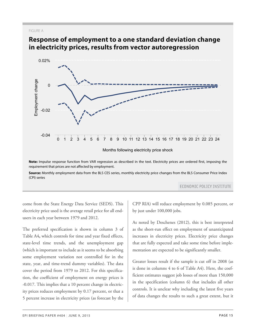#### FIGURE A



### **Response of employment to a one standard deviation change in electricity prices, results from vector autoregression**

**Source:** Monthly employment data from the BLS CES series, monthly electricity price changes from the BLS Consumer Price Index (CPI) series **150 -0.00053% -0.00053% -0.00053% -0.00053% -0.00053% -0.00053% -0.00053% -0.00053% -0.00053% -0.00** 

**ECONOMIC POLICY INSTITUTE** 

come from the State Energy Data Service (SEDS). This electricity price used is the average retail price for all endusers in each year between 1979 and 2012.

The preferred specification is shown in column 3 of Table A4, which controls for time and year fixed effects, state-level time trends, and the unemployment gap (which is important to include as it seems to be absorbing some employment variation not controlled for in the state, year, and time-trend dummy variables). The data cover the period from 1979 to 2012. For this specification, the coefficient of employment on energy prices is -0.017. This implies that a 10 percent change in electricity prices reduces employment by 0.17 percent, or that a 5 percent increase in electricity prices (as forecast by the

CPP RIA) will reduce employment by 0.085 percent, or by just under 100,000 jobs.

As noted by Deschenes (2012), this is best interpreted as the short-run effect on employment of unanticipated increases in electricity prices. Electricity price changes that are fully expected and take some time before implementation are expected to be significantly smaller.

Greater losses result if the sample is cut off in 2008 (as is done in columns 4 to 6 of Table A4). Here, the coefficient estimates suggest job losses of more than 150,000 in the specification (column 6) that includes all other controls. It is unclear why including the latest five years of data changes the results to such a great extent, but it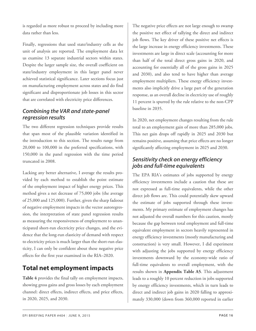is regarded as more robust to proceed by including more data rather than less.

Finally, regressions that used state/industry cells as the unit of analysis are reported. The employment data let us examine 13 separate industrial sectors within states. Despite the larger sample size, the overall coefficient on state/industry employment in this larger panel never achieved statistical significance. Later sections focus just on manufacturing employment across states and do find significant and disproportionate job losses in this sector that are correlated with electricity price differences.

### <span id="page-15-0"></span>*Combining the VAR and state-panel regression results*

The two different regression techniques provide results that span most of the plausible variation identified in the introduction to this section. The results range from 20,000 to 100,000 in the preferred specifications, with 150,000 in the panel regression with the time period truncated in 2008.

<span id="page-15-2"></span>Lacking any better alternative, I average the results provided by each method to establish the point estimate of the employment impact of higher energy prices. This method gives a net decrease of 75,000 jobs (the average of 25,000 and 125,000). Further, given the sharp fadeout of negative employment impacts in the vector autoregression, the interpretation of state panel regression results as measuring the responsiveness of employment to unanticipated short-run electricity price changes, and the evidence that the long-run elasticity of demand with respect to electricity prices is much larger than the short-run elasticity, I can only be confident about these negative price effects for the first year examined in the RIA–2020.

### <span id="page-15-1"></span>**Total net employment impacts**

**Table 4** provides the final tally on employment impacts, showing gross gains and gross losses by each employment channel: direct effects, indirect effects, and price effects, in 2020, 2025, and 2030.

The negative price effects are not large enough to swamp the positive net effect of tallying the direct and indirect job flows. The key driver of these positive net effects is the large increase in energy efficiency investments. These investments are large in direct scale (accounting for more than half of the total direct gross gains in 2020, and accounting for essentially all of the gross gains in 2025 and 2030), and also tend to have higher than average employment multipliers. These energy efficiency investments also implicitly drive a large part of the generation response, as an overall decline in electricity use of roughly 11 percent is spurred by the rule relative to the non-CPP baseline in 2035.

In 2020, net employment changes resulting from the rule total to an employment gain of more than 285,000 jobs. This net gain drops off rapidly in 2025 and 2030 but remains positive, assuming that price effects are no longer significantly affecting employment in 2025 and 2030.

### *Sensitivity check on energy efficiency jobs and full-time equivalents*

The EPA RIA's estimates of jobs supported by energy efficiency investments include a caution that these are not expressed as full-time equivalents, while the other direct job flows are. This could potentially skew upward the estimate of jobs supported through these investments. My primary estimate of employment changes has not adjusted the overall numbers for this caution, mostly because the gap between total employment and full-time equivalent employment in sectors heavily represented in energy efficiency investments (mostly manufacturing and construction) is very small. However, I did experiment with adjusting the jobs supported by energy efficiency investments downward by the economy-wide ratio of full-time equivalents to overall employment, with the results shown in **Appendix Table A5**. This adjustment leads to a roughly 10 percent reduction in jobs supported by energy efficiency investments, which in turn leads to direct and indirect job gains in 2020 falling to approximately 330,000 (down from 360,000 reported in earlier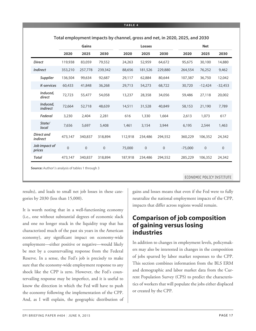|                               |                | <b>Gains</b> |                |         | <b>Losses</b> |                  |           | <b>Net</b>  |             |
|-------------------------------|----------------|--------------|----------------|---------|---------------|------------------|-----------|-------------|-------------|
|                               | 2020           | 2025         | 2030           | 2020    | 2025          | 2030             | 2020      | 2025        | 2030        |
| <b>Direct</b>                 | 119,938        | 83,059       | 79,552         | 24,263  | 52,959        | 64,672           | 95,675    | 30,100      | 14,880      |
| <b>Indirect</b>               | 353,210        | 257,778      | 239,342        | 88,656  | 181,526       | 229,880          | 264,554   | 76,252      | 9,462       |
| <b>Supplier</b>               | 136,504        | 99,634       | 92,687         | 29,117  | 62,884        | 80,644           | 107,387   | 36,750      | 12,042      |
| <b>K-services</b>             | 60,433         | 41,848       | 36,268         | 29,713  | 54,273        | 68,722           | 30,720    | $-12,424$   | $-32,453$   |
| Induced,<br>direct            | 72,723         | 55,477       | 54,058         | 13,237  | 28,358        | 34,056           | 59,486    | 27,118      | 20,002      |
| Induced,<br><i>indirect</i>   | 72,664         | 52,718       | 48,639         | 14,511  | 31,528        | 40,849           | 58,153    | 21,190      | 7,789       |
| Federal                       | 3,230          | 2,404        | 2,281          | 616     | 1,330         | 1,664            | 2,613     | 1,073       | 617         |
| State/<br>local               | 7,656          | 5,697        | 5,408          | 1,461   | 3,154         | 3,944            | 6,195     | 2,544       | 1,463       |
| Direct and<br><i>indirect</i> | 473,147        | 340,837      | 318,894        | 112,918 | 234,486       | 294,552          | 360,229   | 106,352     | 24,342      |
| Job impact of<br>prices       | $\overline{0}$ | $\mathbf 0$  | $\overline{0}$ | 75,000  | $\mathbf 0$   | $\boldsymbol{0}$ | $-75,000$ | $\mathbf 0$ | $\mathbf 0$ |
| <b>Total</b>                  | 473,147        | 340,837      | 318,894        | 187,918 | 234,486       | 294,552          | 285,229   | 106,352     | 24,342      |

**Total employment impacts by channel, gross and net, in 2020, 2025, and 2030**

**Source:** Author\'s analysis of tables 1 through 3

ECONOMIC POLICY INSTITUTE

results), and leads to small net job losses in these categories by 2030 (less than 15,000).

<span id="page-16-0"></span>It is worth noting that in a well-functioning economy (i.e., one without substantial degrees of economic slack and one no longer stuck in the liquidity trap that has characterized much of the past six years in the American economy), any significant impact on economy-wide employment—either positive or negative—would likely be met by a countervailing response from the Federal Reserve. In a sense, the Fed's job is precisely to make sure that the economy-wide employment response to any shock like the CPP is zero. However, the Fed's countervailing response may be imperfect, and it is useful to know the direction in which the Fed will have to push the economy following the implementation of the CPP. And, as I will explain, the geographic distribution of gains and losses means that even if the Fed were to fully neutralize the national employment impacts of the CPP, impacts that differ across regions would remain.

### **Comparison of job composition of gaining versus losing industries**

In addition to changes in employment levels, policymakers may also be interested in changes in the composition of jobs spurred by labor market responses to the CPP. This section combines information from the BLS ERM and demographic and labor market data from the Current Population Survey (CPS) to predict the characteristics of workers that will populate the jobs either displaced or created by the CPP.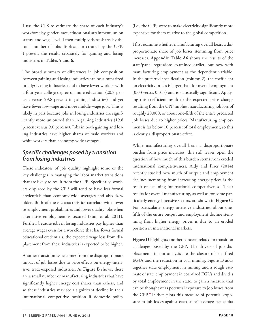I use the CPS to estimate the share of each industry's workforce by gender, race, educational attainment, union status, and wage level. I then multiply these shares by the total number of jobs displaced or created by the CPP. I present the results separately for gaining and losing industries in **Tables 5 and 6**.

The broad summary of differences in job composition between gaining and losing industries can be summarized briefly: Losing industries tend to have fewer workers with a four-year college degree or more education (20.8 percent versus 29.8 percent in gaining industries) and yet have fewer low-wage and more middle-wage jobs. This is likely in part because jobs in Iosing industries are significantly more unionized than in gaining industries (19.8 percent versus 9.0 percent). Jobs in both gaining and losing industries have higher shares of male workers and white workers than economy-wide averages.

### <span id="page-17-0"></span>*Specific challenges posed by transition from losing industries*

These indicators of job quality highlight some of the key challenges in managing the labor market transitions that are likely to result from the CPP. Specifically, workers displaced by the CPP will tend to have less formal credentials than economy-wide averages and also skew older. Both of these characteristics correlate with lower re-employment probabilities and lower quality jobs when alternative employment is secured (Sum et al. 2011). Further, because jobs in losing industries pay higher than average wages even for a workforce that has fewer formal educational credentials, the expected wage loss from displacement from these industries is expected to be higher.

Another transition issue comes from the disproportionate impact of job losses due to price effects on energy-intensive, trade-exposed industries. As **Figure B** shows, there are a small number of manufacturing industries that have significantly higher energy cost shares than others, and so these industries may see a significant decline in their international competitive position if domestic policy (i.e., the CPP) were to make electricity significantly more expensive for them relative to the global competition.

I first examine whether manufacturing overall bears a disproportionate share of job losses stemming from price increases. **Appendix Table A6** shows the results of the state/panel regressions examined earlier, but now with manufacturing employment as the dependent variable. In the preferred specification (column 2), the coefficient on electricity prices is larger than for overall employment (0.03 versus 0.017) and is statistically significant. Applying this coefficient result to the expected price change resulting from the CPP implies manufacturing job loss of roughly 20,000, or about one-fifth of the entire predicted job losses due to higher prices. Manufacturing employment is far below 10 percent of total employment, so this is clearly a disproportionate effect.

While manufacturing overall bears a disproportionate burden from price increases, this still leaves open the question of how much of this burden stems from eroded international competitiveness. Aldy and Pizer (2014) recently studied how much of output and employment declines stemming from increasing energy prices is the result of declining international competitiveness. Their results for overall manufacturing, as well as for some particularly energy-intensive sectors, are shown in **Figure C**. For particularly energy-intensive industries, about onefifth of the entire output and employment decline stemming from higher energy prices is due to an eroded position in international markets.

**Figure D** highlights another concern related to transition challenges posed by the CPP. The drivers of job displacements in our analysis are the closure of coal-fired EGUs and the reduction in coal mining. Figure D adds together state employment in mining and a rough estimate of state employment in coal-fired EGUs and divides by total employment in the state, to gain a measure that can be thought of as potential exposure to job losses from the CPP.<sup>[4](#page-24-6)</sup> It then plots this measure of potential exposure to job losses against each state's average per capita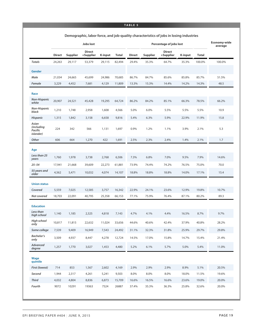#### **TABLE 5**

|                                                     |               |                 | <b>Jobs lost</b>           |                |              |               |                 | <b>Percentage of jobs lost</b> |                |              | Economy-wide<br>average |
|-----------------------------------------------------|---------------|-----------------|----------------------------|----------------|--------------|---------------|-----------------|--------------------------------|----------------|--------------|-------------------------|
|                                                     | <b>Direct</b> | <b>Supplier</b> | <b>Direct</b><br>+Supplier | <b>K-input</b> | <b>Total</b> | <b>Direct</b> | <b>Supplier</b> | <b>Direct</b><br>+Supplier     | <b>K-input</b> | <b>Total</b> |                         |
| <b>Totals</b>                                       | 24,263        | 29,117          | 53,379                     | 29,115         | 82,494       | 29.4%         | 35.3%           | 64.7%                          | 35.3%          | 100.0%       | 100.0%                  |
| Gender                                              |               |                 |                            |                |              |               |                 |                                |                |              |                         |
| Male                                                | 21,034        | 24,665          | 45,699                     | 24,986         | 70,685       | 86.7%         | 84.7%           | 85.6%                          | 85.8%          | 85.7%        | 51.5%                   |
| Female                                              | 3,229         | 4,452           | 7,681                      | 4,129          | 11,809       | 13.3%         | 15.3%           | 14.4%                          | 14.2%          | 14.3%        | 48.5                    |
|                                                     |               |                 |                            |                |              |               |                 |                                |                |              |                         |
| Race<br><b>Non-Hispanic</b>                         |               |                 |                            |                |              |               |                 |                                |                |              |                         |
| white                                               | 20,907        | 24,521          | 45,428                     | 19,295         | 64,724       | 86.2%         | 84.2%           | 85.1%                          | 66.3%          | 78.5%        | 66.2%                   |
| <b>Non-Hispanic</b><br>black                        | 1,210         | 1,748           | 2,958                      | 1,608          | 4,566        | 5.0%          | 6.0%            | 5.5%                           | 5.5%           | 5.5%         | 10.9                    |
| <b>Hispanic</b>                                     | 1,315         | 1,842           | 3,158                      | 6,658          | 9,816        | 5.4%          | 6.3%            | 5.9%                           | 22.9%          | 11.9%        | 15.8                    |
| Asian<br>(including<br>Pacific<br><i>islander</i> ) | 224           | 342             | 566                        | 1,131          | 1,697        | 0.9%          | 1.2%            | 1.1%                           | 3.9%           | 2.1%         | 5.3                     |
| Other                                               | 606           | 664             | 1,270                      | 422            | 1,691        | 2.5%          | 2.3%            | 2.4%                           | 1.4%           | 2.1%         | 1.7                     |
|                                                     |               |                 |                            |                |              |               |                 |                                |                |              |                         |
| Age<br>Less than 25<br>years                        | 1,760         | 1,978           | 3,738                      | 2,768          | 6,506        | 7.3%          | 6.8%            | 7.0%                           | 9.5%           | 7.9%         | 14.6%                   |
| $25 - 54$                                           | 17,941        | 21,668          | 39,609                     | 22,273         | 61,881       | 73.9%         | 74.4%           | 74.2%                          | 76.5%          | 75.0%        | 70.0                    |
| 55 years and<br>older                               | 4,562         | 5,471           | 10,032                     | 4,074          | 14,107       | 18.8%         | 18.8%           | 18.8%                          | 14.0%          | 17.1%        | 15.4                    |
| <b>Union status</b>                                 |               |                 |                            |                |              |               |                 |                                |                |              |                         |
| Covered                                             | 5,559         | 7,025           | 12,585                     | 3,757          | 16,342       | 22.9%         | 24.1%           | 23.6%                          | 12.9%          | 19.8%        | 10.7%                   |
| Not covered                                         | 18,703        | 22,091          | 40,795                     | 25,358         | 66,153       | 77.1%         | 75.9%           | 76.4%                          | 87.1%          | 80.2%        | 89.3                    |
| <b>Education</b>                                    |               |                 |                            |                |              |               |                 |                                |                |              |                         |
| Less than<br>high school                            | 1,140         | 1,185           | 2,325                      | 4,818          | 7,143        | 4.7%          | 4.1%            | 4.4%                           | 16.5%          | 8.7%         | 9.7%                    |
| High school<br>only                                 | 10,817        | 11,815          | 22,632                     | 11,024         | 33,656       | 44.6%         | 40.6%           | 42.4%                          | 37.9%          | 40.8%        | 28.2%                   |
| Some college                                        | 7,539         | 9,409           | 16,949                     | 7,543          | 24,492       | 31.1%         | 32.3%           | 31.8%                          | 25.9%          | 29.7%        | 29.8%                   |
| <b>Bachelor's</b><br>only                           | 3,509         | 4,937           | 8,447                      | 4,278          | 12,724       | 14.5%         | 17.0%           | 15.8%                          | 14.7%          | 15.4%        | 21.4%                   |
| Advanced<br>degree                                  | 1,257         | 1,770           | 3,027                      | 1,453          | 4,480        | 5.2%          | 6.1%            | 5.7%                           | 5.0%           | 5.4%         | 11.0%                   |
| Wage<br>quintile                                    |               |                 |                            |                |              |               |                 |                                |                |              |                         |
| First (lowest)                                      | 714           | 853             | 1,567                      | 2,602          | 4,169        | 2.9%          | 2.9%            | 2.9%                           | 8.9%           | 5.1%         | 20.5%                   |
| Second                                              | 1,944         | 2,317           | 4,261                      | 5,241          | 9,503        | 8.0%          | 8.0%            | 8.0%                           | 18.0%          | 11.5%        | 19.6%                   |
| <b>Third</b>                                        | 4,032         | 4,804           | 8,836                      | 6,873          | 15,709       | 16.6%         | 16.5%           | 16.6%                          | 23.6%          | 19.0%        | 20.0%                   |
| Fourth                                              | 9072          | 10291           | 19363                      | 7524           | 26887        | 37.4%         | 35.3%           | 36.3%                          | 25.8%          | 32.6%        | 20.0%                   |

**Demographic, labor force, and job-quality characteristics of jobs in losing industries**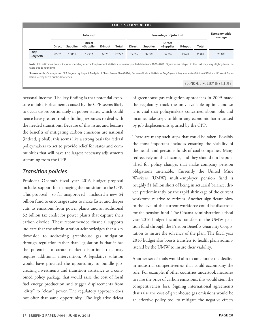#### **TABLE 5 (CONTINUED)**

|                           |               |          | <b>Jobs lost</b>           |         |              |               | Percentage of jobs lost |                            | Economy-wide<br>average |              |       |
|---------------------------|---------------|----------|----------------------------|---------|--------------|---------------|-------------------------|----------------------------|-------------------------|--------------|-------|
|                           | <b>Direct</b> | Supplier | <b>Direct</b><br>+Supplier | K-input | <b>Total</b> | <b>Direct</b> | <b>Supplier</b>         | <b>Direct</b><br>+Supplier | <b>K-input</b>          | <b>Total</b> |       |
| <b>Fifth</b><br>(highest) | 8502          | 10851    | 19352                      | 6875    | 26227        | 35.0%         | 37.3%                   | 36.3%                      | 23.6%                   | 31.8%        | 20.0% |

**Note:** Job estimates do not include spending effects. Employment statistics represent pooled data from 2009–2012. Figure sums relayed in the text may vary slightly from the table due to rounding.

**Source:** Author's analysis of EPA Regulatory Impact Analysis of Clean Power Plan (2014), Bureau of Labor Statistics\' *Employment Requirements Matrices(ERMs),* and Current Population Survey (CPS) public data series

#### ECONOMIC POLICY INSTITUTE

personal income. The key finding is that potential exposure to job displacements caused by the CPP seems likely to occur disproportionately in poorer states, which could hence have greater trouble finding resources to deal with the needed transitions. Because of this issue, and because the benefits of mitigating carbon emissions are national (indeed, global), this seems like a strong basis for federal policymakers to act to provide relief for states and communities that will have the largest necessary adjustments stemming from the CPP.

### <span id="page-19-0"></span>*Transition policies*

President Obama's fiscal year 2016 budget proposal includes support for managing the transition to the CPP. This proposal—so far unapproved—included a new \$4 billion fund to encourage states to make faster and deeper cuts to emissions from power plants and an additional \$2 billion tax credit for power plants that capture their carbon dioxide. These recommended financial supports indicate that the administration acknowledges that a key downside to addressing greenhouse gas mitigation through regulation rather than legislation is that it has the potential to create market distortions that may require additional intervention. A legislative solution would have provided the opportunity to bundle jobcreating investments and transition assistance as a combined policy package that would raise the cost of fossil fuel energy production and trigger displacements from "dirty" to "clean" power. The regulatory approach does not offer that same opportunity. The legislative defeat

of greenhouse gas mitigation approaches in 2009 made the regulatory track the only available option, and so it is vital that policymakers concerned about jobs and incomes take steps to blunt any economic harm caused by job displacements spurred by the CPP.

There are many such steps that could be taken. Possibly the most important includes ensuring the viability of the health and pensions funds of coal companies. Many retirees rely on this income, and they should not be punished for policy changes that make company pension obligations untenable. Currently the United Mine Workers (UMW) multi-employer pension fund is roughly \$1 billion short of being in actuarial balance, driven predominantly by the rapid shrinkage of the current workforce relative to retirees. Another significant blow to the level of the current workforce could be disastrous for the pension fund. The Obama administration's fiscal year 2016 budget includes transfers to the UMW pension fund through the Pension Benefits Guaranty Corporation to insure the solvency of the plan. The fiscal year 2016 budget also boosts transfers to health plans administered by the UMW to insure their viability.

Another set of tools would aim to ameliorate the decline in industrial competitiveness that could accompany the rule. For example, if other countries undertook measures to raise the price of carbon emissions, this would stem the competitiveness loss. Signing international agreements that raise the cost of greenhouse gas emissions would be an effective policy tool to mitigate the negative effects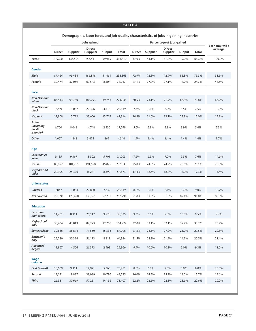#### **TABLE 6**

|                                                     |               |                 | Jobs gained                |         |              |               |          |                            |                |              |                         |
|-----------------------------------------------------|---------------|-----------------|----------------------------|---------|--------------|---------------|----------|----------------------------|----------------|--------------|-------------------------|
|                                                     | <b>Direct</b> | <b>Supplier</b> | <b>Direct</b><br>+Supplier | K-input | <b>Total</b> | <b>Direct</b> | Supplier | <b>Direct</b><br>+Supplier | <b>K-input</b> | <b>Total</b> | Economy-wide<br>average |
| <b>Totals</b>                                       | 119,938       | 136,504         | 256,441                    | 59,969  | 316,410      | 37.9%         | 43.1%    | 81.0%                      | 19.0%          | 100.0%       | 100.0%                  |
|                                                     |               |                 |                            |         |              |               |          |                            |                |              |                         |
| Gender                                              |               |                 |                            |         |              |               |          |                            |                |              |                         |
| Male                                                | 87,464        | 99,434          | 186,898                    | 51,464  | 238,363      | 72.9%         | 72.8%    | 72.9%                      | 85.8%          | 75.3%        | 51.5%                   |
| Female                                              | 32,474        | 37,069          | 69,543                     | 8,504   | 78,047       | 27.1%         | 27.2%    | 27.1%                      | 14.2%          | 24.7%        | 48.5%                   |
| Race                                                |               |                 |                            |         |              |               |          |                            |                |              |                         |
| <b>Non-Hispanic</b><br>white                        | 84,543        | 99,750          | 184,293                    | 39,743  | 224,036      | 70.5%         | 73.1%    | 71.9%                      | 66.3%          | 70.8%        | 66.2%                   |
| Non-Hispanic<br>black                               | 9,259         | 11,067          | 20,326                     | 3,313   | 23,639       | 7.7%          | 8.1%     | 7.9%                       | 5.5%           | 7.5%         | 10.9%                   |
| <b>Hispanic</b>                                     | 17,808        | 15,792          | 33,600                     | 13,714  | 47,314       | 14.8%         | 11.6%    | 13.1%                      | 22.9%          | 15.0%        | 15.8%                   |
| Asian<br>(including<br>Pacific<br><i>islander</i> ) | 6,700         | 8,048           | 14,748                     | 2,330   | 17,078       | 5.6%          | 5.9%     | 5.8%                       | 3.9%           | 5.4%         | 5.3%                    |
| Other                                               | 1,627         | 1,848           | 3,475                      | 869     | 4,344        | 1.4%          | 1.4%     | 1.4%                       | 1.4%           | 1.4%         | 1.7%                    |
|                                                     |               |                 |                            |         |              |               |          |                            |                |              |                         |
| Age<br>Less than 25                                 |               |                 |                            |         |              |               |          |                            |                |              |                         |
| years                                               | 9,135         | 9,367           | 18,502                     | 5,701   | 24,203       | 7.6%          | 6.9%     | 7.2%                       | 9.5%           | 7.6%         | 14.6%                   |
| $25 - 54$                                           | 89,897        | 101,761         | 191,658                    | 45,875  | 237,533      | 75.0%         | 74.5%    | 74.7%                      | 76.5%          | 75.1%        | 70.0%                   |
| 55 years and<br>older                               | 20,905        | 25,376          | 46,281                     | 8,392   | 54,673       | 17.4%         | 18.6%    | 18.0%                      | 14.0%          | 17.3%        | 15.4%                   |
| <b>Union status</b>                                 |               |                 |                            |         |              |               |          |                            |                |              |                         |
| Covered                                             | 9,847         | 11,034          | 20,880                     | 7,739   | 28,619       | 8.2%          | 8.1%     | 8.1%                       | 12.9%          | 9.0%         | 10.7%                   |
| Not covered                                         | 110,091       | 125,470         | 235,561                    | 52,230  | 287,791      | 91.8%         | 91.9%    | 91.9%                      | 87.1%          | 91.0%        | 89.3%                   |
| <b>Education</b>                                    |               |                 |                            |         |              |               |          |                            |                |              |                         |
| Less than<br>high school                            | 11,201        | 8,911           | 20,112                     | 9,923   | 30,035       | 9.3%          | 6.5%     | 7.8%                       | 16.5%          | 9.5%         | 9.7%                    |
| High school<br>only                                 | 38,404        | 43,819          | 82,223                     | 22,706  | 104,929      | 32.0%         | 32.1%    | 32.1%                      | 37.9%          | 33.2%        | 28.2%                   |
| Some college                                        | 32,686        | 38,874          | 71,560                     | 15,536  | 87,096       | 27.3%         | 28.5%    | 27.9%                      | 25.9%          | 27.5%        | 29.8%                   |
| <b>Bachelor's</b><br>only                           | 25,780        | 30,394          | 56,173                     | 8,811   | 64,984       | 21.5%         | 22.3%    | 21.9%                      | 14.7%          | 20.5%        | 21.4%                   |
| Advanced<br>degree                                  | 11,867        | 14,506          | 26,373                     | 2,993   | 29,366       | 9.9%          | 10.6%    | 10.3%                      | 5.0%           | 9.3%         | 11.0%                   |
| Wage<br>quintile                                    |               |                 |                            |         |              |               |          |                            |                |              |                         |
| First (lowest)                                      | 10,609        | 9,311           | 19,921                     | 5,360   | 25,281       | 8.8%          | 6.8%     | 7.8%                       | 8.9%           | 8.0%         | 20.5%                   |
| Second                                              | 19,151        | 19,837          | 38,989                     | 10,796  | 49,785       | 16.0%         | 14.5%    | 15.2%                      | 18.0%          | 15.7%        | 19.6%                   |
| <b>Third</b>                                        | 26,581        | 30,669          | 57,251                     | 14,156  | 71,407       | 22.2%         | 22.5%    | 22.3%                      | 23.6%          | 22.6%        | 20.0%                   |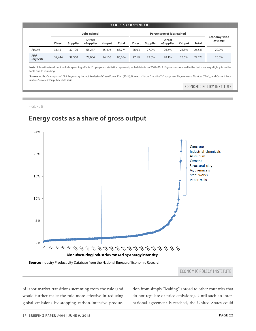#### **TABLE 6 (CONTINUED)**

|                           |               | Jobs gained     |                            |                |              |               | Percentage of jobs gained |                            |                |       |                         |  |  |
|---------------------------|---------------|-----------------|----------------------------|----------------|--------------|---------------|---------------------------|----------------------------|----------------|-------|-------------------------|--|--|
|                           | <b>Direct</b> | <b>Supplier</b> | <b>Direct</b><br>+Supplier | <b>K-input</b> | <b>Total</b> | <b>Direct</b> | <b>Supplier</b>           | <b>Direct</b><br>+Supplier | <b>K-input</b> | Total | Economy-wide<br>average |  |  |
| Fourth                    | 31,151        | 37,126          | 68,277                     | 15.496         | 83,774       | 26.0%         | 27.2%                     | 26.6%                      | 25.8%          | 26.5% | 20.0%                   |  |  |
| <b>Fifth</b><br>(highest) | 32,444        | 39,560          | 72,004                     | 14,160         | 86,164       | 27.1%         | 29.0%                     | 28.1%                      | 23.6%          | 27.2% | 20.0%                   |  |  |

**Note:** Job estimates do not include spending effects. Employment statistics represent pooled data from 2009–2012. Figure sums relayed in the text may vary slightly from the table due to rounding.

**Source:** Author's analysis of EPA Regulatory Impact Analysis of Clean Power Plan (2014), Bureau of Labor Statistics\' *Employment Requirements Matrices(ERMs),* and Current Population Survey (CPS) public data series

#### ECONOMIC POLICY INSTITUTE

FIGURE B

### **Energy costs as a share of gross output**



#### **Source:** Industry Productivity Database from the National Bureau of Economic Research

ECONOMIC POLICY INSTITUTE

22 <del>0.560 0.560</del> global emissions by stopping carbon-intensive producof labor market transitions stemming from the rule (and would further make the rule more effective in reducing

tion from simply "leaking" abroad to other countries that do not regulate or price emissions). Until such an international agreement is reached, the United States could

20 0.55063%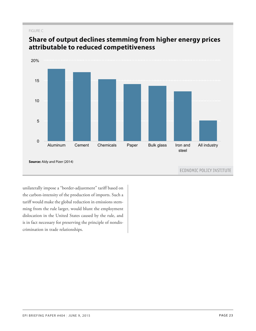#### FIGURE C



### **Share of output declines stemming from higher energy prices attributable to reduced competitiveness**

unilaterally impose a "border-adjustment" tariff based on the carbon-intensity of the production of imports. Such a tariff would make the global reduction in emissions stemming from the rule larger, would blunt the employment dislocation in the United States caused by the rule, and is in fact necessary for preserving the principle of nondiscrimination in trade relationships.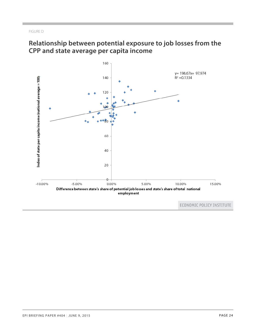#### FIGURE D

### **Relationship between potential exposure to job losses from the CPP and state average per capita income**



ECONOMIC POLICY INSTITUTE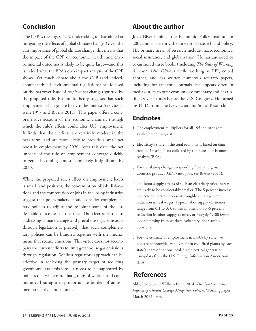### <span id="page-24-0"></span>**Conclusion**

The CPP is the largest U.S. undertaking to date aimed at mitigating the effects of global climate change. Given the vast importance of global climate change, this means that the impact of the CPP on economic, health, and environmental outcomes is likely to be quite large—and this is indeed what the EPA's own impact analysis of the CPP shows. Yet much debate about the CPP (and indeed, about nearly all environmental regulations) has focused on the narrower issue of *employment* changes spurred by the proposed rule. Economic theory suggests that such employment changes are likely to be modest (see Goodstein 1997 and Bivens 2011). This paper offers a comprehensive account of the economic channels through which the rule's effects could alter U.S. employment. It finds that these effects are relatively modest in the near term, and are more likely to provide a small net boost in employment by 2020. After this date, the net impacts of the rule on employment converge quickly to zero—becoming almost completely insignificant by 2030.

<span id="page-24-6"></span><span id="page-24-5"></span><span id="page-24-4"></span><span id="page-24-3"></span><span id="page-24-2"></span><span id="page-24-1"></span>While the proposed rule's effect on employment levels is small (and positive), the concentration of job dislocations and the composition of jobs in the losing industries suggest that policymakers should consider complementary policies to adjust and to blunt some of the less desirable outcomes of the rule. The clearest virtue to addressing climate change and greenhouse gas emissions through legislation is precisely that such complementary policies can be bundled together with the mechanisms that reduce emissions. This virtue does not accompany the current efforts to limit greenhouse gas emissions through regulation. While a regulatory approach can be effective in achieving the primary target of reducing greenhouse gas emissions, it needs to be supported by policies that will ensure that groups of workers and communities bearing a disproportionate burden of adjustment are fairly compensated.

### **About the author**

**Josh Bivens** joined the Economic Policy Institute in 2002 and is currently the director of research and policy. His primary areas of research include macroeconomics, social insurance, and globalization. He has authored or co-authored three books (including *The State of Working America, 12th Edition*) while working at EPI, edited another, and has written numerous research papers, including for academic journals. He appears often in media outlets to offer economic commentary and has testified several times before the U.S. Congress. He earned his Ph.D. from The New School for Social Research.

### **Endnotes**

- [1.](#page-9-2) The employment multipliers for all 195 industries are available upon request.
- [2.](#page-11-2) Electricity's share in the total economy is based on data from 2013 using data collected by the Bureau of Economic Analysis (BEA).
- [3.](#page-13-3) For translating changes in spending flows and gross domestic product (GDP) into jobs, see Bivens (2011).
- [4.](#page-13-4) The labor supply effects of such an electricity price increase are likely to be considerably smaller. The 5 percent increase in electricity prices represents roughly a 0.12 percent reduction in real wages. Typical labor supply elasticities range from 0.1 to 0.3, so this implies a 0.0036 percent reduction in labor supply at most, or roughly 5,400 fewer jobs stemming from workers' voluntary labor supply decisions.
- 5. For the estimate of employment in EGUs by state, we allocate nationwide employment in coal-fired plants by each state's share of national coal-fired electrical generation, using data from the U.S. Energy Information Association (EIA).

### **References**

Aldy, Joseph, and William Pizer. 2014. *The Competitiveness Impacts of Climate Change Mitigation Policies*. Working paper, March 2014 draft.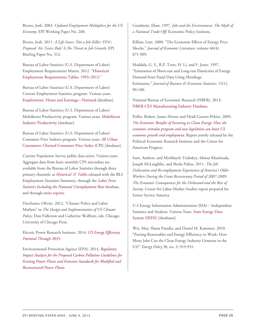Bivens, Josh. 2003. *Updated Employment Multipliers for the US Economy*. EPI Working Paper No. 268.

Bivens, Josh. 2011. *A Life-Saver, Not a Job-Killer: EPA's Proposed 'Air Toxics Rule' Is No Threat to Job Growth*. EPI Briefing Paper No. 312.

Bureau of Labor Statistics (U.S. Department of Labor) Employment Requirements Matrix. 2012. ["Historical]( http:/www.bls.gov/emp/ep_data_emp_requirements.htm) [Employment Requirements Tables, 1993–2012.]( http:/www.bls.gov/emp/ep_data_emp_requirements.htm)"

Bureau of Labor Statistics (U.S. Department of Labor) Current Employment Statistics program. Various years. [Employment, Hours and Earnings—National](http://www.bls.gov/ces/#data) [database].

Bureau of Labor Statistics (U.S. Department of Labor) Multifactor Productivity program. Various years. [Multifactor](http://www.bls.gov/mfp/#data) [Industry Productivity](http://www.bls.gov/mfp/#data) [database].

Bureau of Labor Statistics (U.S. Department of Labor) Consumer Price Indexes program. Various years. [All Urban](http://bls.gov/cpi/) [Consumers: Chained Consumer Price Index](http://bls.gov/cpi/) (CPI) [database].

Current Population Survey public data series. Various years. Aggregate data from basic monthly CPS microdata are available from the Bureau of Labor Statistics through three primary channels: as *[Historical 'A' Tables](http://www.bls.gov/data/#historical-tables)* released with the BLS Employment Situation Summary, through the *[Labor Force](http://www.bls.gov/cps/#data) [Statistics Including the National Unemployment Rate](http://www.bls.gov/cps/#data)* database, and through [series reports](http://data.bls.gov/cgi-bin/srgate).

Deschenes, Olivier. 2012. "Climate Policy and Labor Markets" in *The Design and Implementation of US Climate Policy*, Don Fullerton and Catherine Wolfram, eds. Chicago: University of Chicago Press.

Electric Power Research Institute. 2014. *[US Energy Efficiency](http://www.epri.com/abstracts/Pages/ProductAbstract.aspx?ProductId=000000000001025477) [Potential Through 2035](http://www.epri.com/abstracts/Pages/ProductAbstract.aspx?ProductId=000000000001025477)*.

Environmental Protection Agency (EPA). 2014. *[Regulatory](http://www2.epa.gov/sites/production/files/2014-06/documents/20140602ria-clean-power-plan.pdf) [Impact Analysis for the Proposed Carbon Pollution Guidelines for](http://www2.epa.gov/sites/production/files/2014-06/documents/20140602ria-clean-power-plan.pdf) [Existing Power Plants and Emission Standards for Modified and](http://www2.epa.gov/sites/production/files/2014-06/documents/20140602ria-clean-power-plan.pdf) [Reconstructed](http://www2.epa.gov/sites/production/files/2014-06/documents/20140602ria-clean-power-plan.pdf) Power Plants*.

Goodstein, Eban. 1997. *Jobs and the Environment: The Myth of a National Trade-Off*. Economic Policy Institute.

Killian, Lutz. 2008. "The Economic Effects of Energy Price Shocks." *Journal of Economic Literature*, volume 46(4), 871-909.

Maddala, G. S., R.P. Trost, H. Li, and F. Joutz. 1997. "Estimation of Short-run and Long-run Elasticities of Energy Demand from Panel Data Using Shrinkage Estimators." *Journal of Business & Economic Statistics*, 15(1), 90-100.

National Bureau of Economic Research (NBER). 2013. [NBER-CES Manufacturing Industry Database](http://www.nber.org/data/nberces5809.html).

Pollin, Robert, James Heintz and Heidi Garrett-Peltier. 2009. *[The Economic Benefits of Investing in Clean Energy: How the](https://cdn.americanprogress.org/wp-content/uploads/issues/2009/06/pdf/peri_report_execsumm.pdf) [economic stimulus program and new legislation can boost US](https://cdn.americanprogress.org/wp-content/uploads/issues/2009/06/pdf/peri_report_execsumm.pdf) [economic growth and employment](https://cdn.americanprogress.org/wp-content/uploads/issues/2009/06/pdf/peri_report_execsumm.pdf).* Report jointly released by the Political Economic Research Institute and the Center for American Progress.

Sum, Andrew, and Myrkhaylo Trubskyy, Ishwar Khatiwada, Joseph McLaughlin, and Sheila Palma. 2011. *The Job Dislocation and Re-employment Experiences of America's Older Workers During the Great Recessionary Period of 2007-2009: The Economic Consequences for the Dislocated and the Rest of Society*. Center for Labor Market Studies report prepared for Senior Service America

U.S Energy Information Administration (EIA) – Independent Statistics and Analysis. Various Years. [State Energy Data](http://www.eia.gov/state/seds/) [System \(SEDS\)](http://www.eia.gov/state/seds/) [databases].

Wei, Max, Shana Patadia, and Daniel M. Kammen. 2010. "Putting Renewables and Energy Efficiency to Work: How Many Jobs Can the Clean Energy Industry Generate in the US?" *Energy Policy* 38, no. 2: 919-931.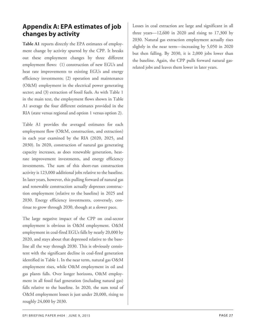### <span id="page-26-0"></span>**Appendix A: EPA estimates of job changes by activity**

**Table A1** reports directly the EPA estimates of employment change by activity spurred by the CPP. It breaks out these employment changes by three different employment flows: (1) construction of new EGUs and heat rate improvements to existing EGUs and energy efficiency investments; (2) operation and maintenance (O&M) employment in the electrical power generating sector; and (3) extraction of fossil fuels. As with Table 1 in the main text, the employment flows shown in Table A1 average the four different estimates provided in the RIA (state versus regional and option 1 versus option 2).

Table A1 provides the averaged estimates for each employment flow (O&M, construction, and extraction) in each year examined by the RIA (2020, 2025, and 2030). In 2020, construction of natural gas generating capacity increases, as does renewable generation, heatrate improvement investments, and energy efficiency investments. The sum of this short-run construction activity is 123,000 additional jobs relative to the baseline. In later years, however, this pulling forward of natural gas and renewable construction actually depresses construction employment (relative to the baseline) in 2025 and 2030. Energy efficiency investments, conversely, continue to grow through 2030, though at a slower pace.

The large negative impact of the CPP on coal-sector employment is obvious in O&M employment. O&M employment in coal-fired EGUs falls by nearly 20,000 by 2020, and stays about that depressed relative to the baseline all the way through 2030. This is obviously consistent with the significant decline in coal-fired generation identified in Table 1. In the near term, natural gas O&M employment rises, while O&M employment in oil and gas plants falls. Over longer horizons, O&M employment in all fossil fuel generation (including natural gas) falls relative to the baseline. In 2020, the sum total of O&M employment losses is just under 20,000, rising to roughly 24,000 by 2030.

Losses in coal extraction are large and significant in all three years—12,600 in 2020 and rising to 17,300 by 2030. Natural gas extraction employment actually rises slightly in the near term—increasing by 5,050 in 2020 but then falling. By 2030, it is 2,000 jobs lower than the baseline. Again, the CPP pulls forward natural gasrelated jobs and leaves them lower in later years.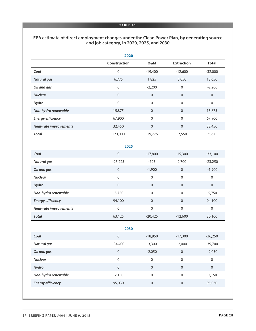#### **TABLE A1**

#### **EPA estimate of direct employment changes under the Clean Power Plan, by generating source and job category, in 2020, 2025, and 2030**

|                          | 2020                |                  |                   |                  |
|--------------------------|---------------------|------------------|-------------------|------------------|
|                          | <b>Construction</b> | O&M              | <b>Extraction</b> | <b>Total</b>     |
| Coal                     | $\mathbf 0$         | $-19,400$        | $-12,600$         | $-32,000$        |
| <b>Natural gas</b>       | 6,775               | 1,825            | 5,050             | 13,650           |
| Oil and gas              | $\boldsymbol{0}$    | $-2,200$         | $\boldsymbol{0}$  | $-2,200$         |
| <b>Nuclear</b>           | $\boldsymbol{0}$    | $\,0\,$          | $\boldsymbol{0}$  | $\boldsymbol{0}$ |
| Hydro                    | 0                   | $\boldsymbol{0}$ | $\boldsymbol{0}$  | $\mathbf 0$      |
| Non-hydro renewable      | 15,875              | $\mathbf 0$      | $\mathbf 0$       | 15,875           |
| <b>Energy efficiency</b> | 67,900              | $\boldsymbol{0}$ | $\mathbf 0$       | 67,900           |
| Heat-rate improvements   | 32,450              | $\boldsymbol{0}$ | $\boldsymbol{0}$  | 32,450           |
| <b>Total</b>             | 123,000             | $-19,775$        | $-7,550$          | 95,675           |
|                          | 2025                |                  |                   |                  |
| Coal                     | $\mathbf 0$         | $-17,800$        | $-15,300$         | $-33,100$        |
| <b>Natural gas</b>       | $-25,225$           | $-725$           | 2,700             | $-23,250$        |
| Oil and gas              | $\boldsymbol{0}$    | $-1,900$         | $\mathbf 0$       | $-1,900$         |
| <b>Nuclear</b>           | $\boldsymbol{0}$    | $\mbox{O}$       | $\boldsymbol{0}$  | $\mathbf 0$      |
| Hydro                    | $\boldsymbol{0}$    | $\boldsymbol{0}$ | $\boldsymbol{0}$  | $\boldsymbol{0}$ |
| Non-hydro renewable      | $-5,750$            | $\boldsymbol{0}$ | $\boldsymbol{0}$  | $-5,750$         |
| <b>Energy efficiency</b> | 94,100              | $\boldsymbol{0}$ | $\boldsymbol{0}$  | 94,100           |
| Heat-rate improvements   | 0                   | $\boldsymbol{0}$ | $\boldsymbol{0}$  | $\boldsymbol{0}$ |
| <b>Total</b>             | 63,125              | $-20,425$        | $-12,600$         | 30,100           |
|                          | 2030                |                  |                   |                  |
| Coal                     | 0                   | $-18,950$        | $-17,300$         | $-36,250$        |
| <b>Natural gas</b>       | $-34,400$           | $-3,300$         | $-2,000$          | $-39,700$        |
| Oil and gas              | $\boldsymbol{0}$    | $-2,050$         | $\,0\,$           | $-2,050$         |
| <b>Nuclear</b>           | $\boldsymbol{0}$    | $\mathbf 0$      | $\boldsymbol{0}$  | $\boldsymbol{0}$ |
| Hydro                    | $\boldsymbol{0}$    | $\boldsymbol{0}$ | $\,0\,$           | $\boldsymbol{0}$ |
| Non-hydro renewable      | $-2,150$            | $\mathbf 0$      | $\boldsymbol{0}$  | $-2,150$         |
| <b>Energy efficiency</b> | 95,030              | $\boldsymbol{0}$ | $\,0\,$           | 95,030           |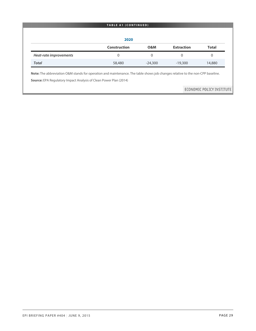| 2020                   |                     |                |                   |                |  |  |  |  |  |  |
|------------------------|---------------------|----------------|-------------------|----------------|--|--|--|--|--|--|
|                        | <b>Construction</b> | <b>O&amp;M</b> | <b>Extraction</b> | <b>Total</b>   |  |  |  |  |  |  |
| Heat-rate improvements | $\Omega$            | $\Omega$       | $\Omega$          | $\overline{0}$ |  |  |  |  |  |  |
| <b>Total</b>           | 58,480              | $-24,300$      | $-19,300$         | 14,880         |  |  |  |  |  |  |

**Note:** The abbreviation O&M stands for operation and maintenance. The table shows job changes relative to the non-CPP baseline.

**Source:** EPA Regulatory Impact Analysis of Clean Power Plan (2014)

ECONOMIC POLICY INSTITUTE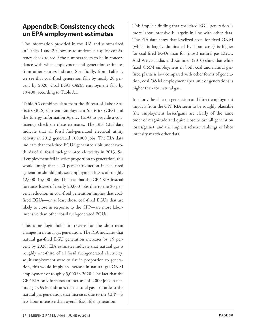### <span id="page-29-0"></span>**Appendix B: Consistency check on EPA employment estimates**

The information provided in the RIA and summarized in Tables 1 and 2 allows us to undertake a quick consistency check to see if the numbers seem to be in concordance with what employment and generation estimates from other sources indicate. Specifically, from Table 1, we see that coal-fired generation falls by nearly 20 percent by 2020. Coal EGU O&M employment falls by 19,400, according to Table A1.

**Table A2** combines data from the Bureau of Labor Statistics (BLS) Current Employment Statistics (CES) and the Energy Information Agency (EIA) to provide a consistency check on these estimates. The BLS CES data indicate that all fossil fuel–generated electrical utility activity in 2013 generated 100,000 jobs. The EIA data indicate that coal-fired EGUS generated a bit under twothirds of all fossil fuel-generated electricity in 2013. So, if employment fell in strict proportion to generation, this would imply that a 20 percent reduction in coal-fired generation should only see employment losses of roughly 12,000–14,000 jobs. The fact that the CPP RIA instead forecasts losses of nearly 20,000 jobs due to the 20 percent reduction in coal-fired generation implies that coalfired EGUs—or at least those coal-fired EGUs that are likely to close in response to the CPP—are more laborintensive than other fossil fuel-generated EGUs.

This same logic holds in reverse for the short-term changes in natural gas generation. The RIA indicates that natural gas-fired EGU generation increases by 15 percent by 2020. EIA estimates indicate that natural gas is roughly one-third of all fossil fuel-generated electricity; so, if employment were to rise in proportion to generation, this would imply an increase in natural gas O&M employment of roughly 5,000 in 2020. The fact that the CPP RIA only forecasts an increase of 2,000 jobs in natural gas O&M indicates that natural gas—or at least the natural gas generation that increases due to the CPP—is less labor intensive than overall fossil fuel generation.

This implicit finding that coal-fired EGU generation is more labor intensive is largely in line with other data. The EIA data show that levelized costs for fixed O&M (which is largely dominated by labor costs) is higher for coal-fired EGUs than for (most) natural gas EGUs. And Wei, Patadia, and Kammen (2010) show that while fixed O&M employment in both coal and natural gasfired plants is low compared with other forms of generation, coal O&M employment (per unit of generation) is higher than for natural gas.

In short, the data on generation and direct employment impacts from the CPP RIA seem to be roughly plausible (the employment losses/gains are clearly of the same order of magnitude and quite close to overall generation losses/gains), and the implicit relative rankings of labor intensity match other data.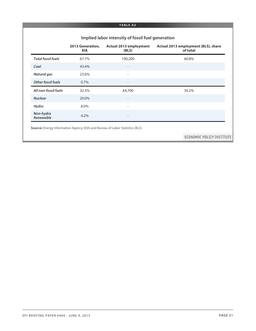#### **TABLE A2**

|                           | Implied labor intensity of fossil fuel generation |                                        |                                                 |  |  |  |  |  |  |  |
|---------------------------|---------------------------------------------------|----------------------------------------|-------------------------------------------------|--|--|--|--|--|--|--|
|                           | 2013 Generation,<br><b>EIA</b>                    | <b>Actual 2013 employment</b><br>(BLS) | Actual 2013 employment (BLS), share<br>of total |  |  |  |  |  |  |  |
| <b>Total fossil fuels</b> | 67.7%                                             | 100,200                                | 60.8%                                           |  |  |  |  |  |  |  |
| Coal                      | 43.4%                                             | $\overline{\phantom{a}}$               |                                                 |  |  |  |  |  |  |  |
| <b>Natural gas</b>        | 23.6%                                             | $\overline{\phantom{a}}$               |                                                 |  |  |  |  |  |  |  |
| <b>Other fossil fuels</b> | 0.7%                                              |                                        |                                                 |  |  |  |  |  |  |  |
| All non-fossil fuels      | 32.3%                                             | 64,700                                 | 39.2%                                           |  |  |  |  |  |  |  |
| <b>Nuclear</b>            | 20.0%                                             | $\overline{\phantom{a}}$               |                                                 |  |  |  |  |  |  |  |
| Hydro                     | 8.0%                                              | $\overline{\phantom{a}}$               |                                                 |  |  |  |  |  |  |  |
| Non-hydro<br>Renewable    | 4.2%                                              |                                        |                                                 |  |  |  |  |  |  |  |

ECONOMIC POLICY INSTITUTE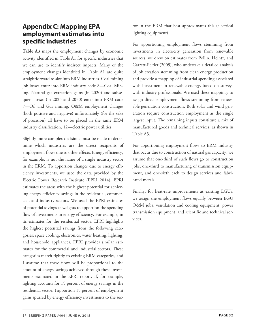### <span id="page-31-0"></span>**Appendix C: Mapping EPA employment estimates into specific industries**

**Table A3** maps the employment changes by economic activity identified in Table A1 for specific industries that we can use to identify indirect impacts. Many of the employment changes identified in Table A1 are quite straightforward to slot into ERM industries. Coal mining job losses enter into ERM industry code 8—Coal Mining. Natural gas extraction gains (in 2020) and subsequent losses (in 2025 and 2030) enter into ERM code 7—Oil and Gas mining. O&M employment changes (both positive and negative) unfortunately (for the sake of precision) all have to be placed in the same ERM industry classification, 12—electric power utilities.

Slightly more complex decisions must be made to determine which industries are the direct recipients of employment flows due to other effects. Energy efficiency, for example, is not the name of a single industry sector in the ERM. To apportion changes due to energy efficiency investments, we used the data provided by the Electric Power Research Institute (EPRI 2014). EPRI estimates the areas with the highest potential for achieving energy efficiency savings in the residential, commercial, and industry sectors. We used the EPRI estimates of potential savings as weights to apportion the spending flow of investments in energy efficiency. For example, in its estimates for the residential sector, EPRI highlights the highest potential savings from the following categories: space cooling, electronics, water heating, lighting, and household appliances. EPRI provides similar estimates for the commercial and industrial sectors. These categories match tightly to existing ERM categories, and I assume that these flows will be proportional to the amount of energy savings achieved through these investments estimated in the EPRI report. If, for example, lighting accounts for 15 percent of energy savings in the residential sector, I apportion 15 percent of employment gains spurred by energy efficiency investments to the sec-

tor in the ERM that best approximates this (electrical lighting equipment).

For apportioning employment flows stemming from investments in electricity generation from renewable sources, we drew on estimates from Pollin, Heintz, and Garrett-Peltier (2009), who undertake a detailed analysis of job creation stemming from clean energy production and provide a mapping of industrial spending associated with investment in renewable energy, based on surveys with industry professionals. We used these mappings to assign direct employment flows stemming from renewable generation construction. Both solar and wind generation require construction employment as the single largest input. The remaining inputs constitute a mix of manufactured goods and technical services, as shown in Table A3.

For apportioning employment flows to ERM industry that occur due to construction of natural gas capacity, we assume that one-third of such flows go to construction jobs, one-third to manufacturing of transmission equipment, and one-sixth each to design services and fabricated metals.

Finally, for heat-rate improvements at existing EGUs, we assign the employment flows equally between EGU O&M jobs, ventilation and cooling equipment, power transmission equipment, and scientific and technical services.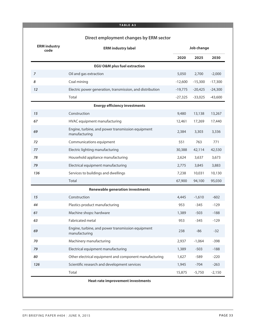#### **TABLE A3**

### **Direct employment changes by ERM sector**

| <b>ERM industry</b><br>code | <b>ERM industry label</b>                                          | Job change |           |           |  |
|-----------------------------|--------------------------------------------------------------------|------------|-----------|-----------|--|
|                             |                                                                    | 2020       | 2025      | 2030      |  |
|                             | <b>EGU O&amp;M plus fuel extraction</b>                            |            |           |           |  |
| $\overline{z}$              | Oil and gas extraction                                             | 5,050      | 2,700     | $-2,000$  |  |
| 8                           | Coal mining                                                        | $-12,600$  | $-15,300$ | $-17,300$ |  |
| 12                          | Electric power generation, transmission, and distribution          | $-19,775$  | $-20,425$ | $-24,300$ |  |
|                             | Total                                                              | $-27,325$  | $-33,025$ | $-43,600$ |  |
|                             | <b>Energy efficiency investments</b>                               |            |           |           |  |
| 15                          | Construction                                                       | 9,480      | 13,138    | 13,267    |  |
| 67                          | HVAC equipment manufacturing                                       | 12,461     | 17,269    | 17,440    |  |
| 69                          | Engine, turbine, and power transmission equipment<br>manufacturing | 2,384      | 3,303     | 3,336     |  |
| 72                          | Communications equipment                                           | 551        | 763       | 771       |  |
| 77                          | Electric lighting manufacturing                                    | 30,388     | 42,114    | 42,530    |  |
| 78                          | Household appliance manufacturing                                  | 2,624      | 3,637     | 3,673     |  |
| 79                          | Electrical equipment manufacturing                                 | 2,775      | 3,845     | 3,883     |  |
| 136                         | Services to buildings and dwellings                                | 7,238      | 10,031    | 10,130    |  |
|                             | Total                                                              | 67,900     | 94,100    | 95,030    |  |
|                             | <b>Renewable generation investments</b>                            |            |           |           |  |
| 15                          | Construction                                                       | 4,445      | $-1,610$  | $-602$    |  |
| 44                          | Plastics product manufacturing                                     | 953        | $-345$    | $-129$    |  |
| 61                          | Machine shops: hardware                                            | 1,389      | $-503$    | $-188$    |  |
| 63                          | Fabricated metal                                                   | 953        | $-345$    | $-129$    |  |
| 69                          | Engine, turbine, and power transmission equipment<br>manufacturing | 238        | $-86$     | $-32$     |  |
| 70                          | Machinery manufacturing                                            | 2,937      | $-1,064$  | $-398$    |  |
| 79                          | Electrical equipment manufacturing                                 | 1,389      | $-503$    | $-188$    |  |
| 80                          | Other electrical equipment and component manufacturing             | 1,627      | $-589$    | $-220$    |  |
| 126                         | Scientific research and development services                       | 1,945      | $-704$    | $-263$    |  |
|                             | Total                                                              | 15,875     | $-5,750$  | $-2,150$  |  |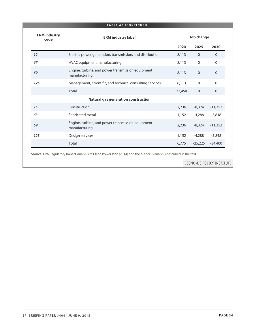|                             | <b>TABLE A3 (CONTINUED)</b>                                        |        |                |                |  |  |
|-----------------------------|--------------------------------------------------------------------|--------|----------------|----------------|--|--|
| <b>ERM</b> industry<br>code | <b>ERM industry label</b>                                          |        | Job change     |                |  |  |
|                             |                                                                    | 2020   | 2025           | 2030           |  |  |
| 12                          | Electric power generation, transmission, and distribution          | 8,113  | $\overline{0}$ | $\Omega$       |  |  |
| 67                          | HVAC equipment manufacturing                                       | 8,113  | $\mathbf 0$    | $\mathbf 0$    |  |  |
| 69                          | Engine, turbine, and power transmission equipment<br>manufacturing | 8,113  | $\mathbf 0$    | $\overline{0}$ |  |  |
| 125                         | Management, scientific, and technical consulting services          | 8,113  | $\mathbf 0$    | $\Omega$       |  |  |
|                             | Total                                                              | 32,450 | $\overline{0}$ | $\mathbf{0}$   |  |  |
|                             | <b>Natural gas generation construction</b>                         |        |                |                |  |  |
| 15                          | Construction                                                       | 2,236  | $-8,324$       | $-11,352$      |  |  |
| 63                          | <b>Fabricated metal</b>                                            | 1,152  | $-4,288$       | $-5,848$       |  |  |
| 69                          | Engine, turbine, and power transmission equipment<br>manufacturing | 2,236  | $-8,324$       | $-11,352$      |  |  |
| 123                         | Design services                                                    | 1,152  | $-4,288$       | $-5,848$       |  |  |
|                             | Total                                                              | 6,775  | $-25,225$      | $-34,400$      |  |  |

**Source:** EPA Regulatory Impact Analysis of Clean Power Plan (2014) and the author\'s analysis described in the text

#### ECONOMIC POLICY INSTITUTE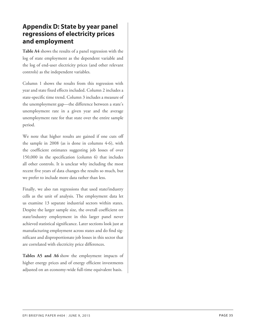### <span id="page-34-0"></span>**Appendix D: State by year panel regressions of electricity prices and employment**

**Table A4** shows the results of a panel regression with the log of state employment as the dependent variable and the log of end-user electricity prices (and other relevant controls) as the independent variables.

Column 1 shows the results from this regression with year and state fixed effects included. Column 2 includes a state-specific time trend. Column 3 includes a measure of the unemployment gap—the difference between a state's unemployment rate in a given year and the average unemployment rate for that state over the entire sample period.

We note that higher results are gained if one cuts off the sample in 2008 (as is done in columns 4-6), with the coefficient estimates suggesting job losses of over 150,000 in the specification (column 6) that includes all other controls. It is unclear why including the most recent five years of data changes the results so much, but we prefer to include more data rather than less.

Finally, we also ran regressions that used state/industry cells as the unit of analysis. The employment data let us examine 13 separate industrial sectors within states. Despite the larger sample size, the overall coefficient on state/industry employment in this larger panel never achieved statistical significance. Later sections look just at manufacturing employment across states and do find significant and disproportionate job losses in this sector that are correlated with electricity price differences.

**Tables A5 and A6** show the employment impacts of higher energy prices and of energy efficient investments adjusted on an economy-wide full-time equivalent basis.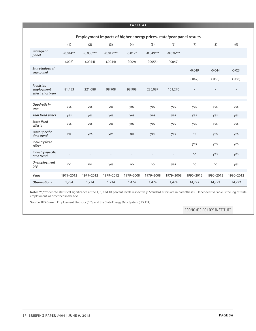#### **TABLE A4**

|                                              | Employment impacts of higher energy prices, state/year panel results |             |             |           |             |             |           |           |           |
|----------------------------------------------|----------------------------------------------------------------------|-------------|-------------|-----------|-------------|-------------|-----------|-----------|-----------|
|                                              | (1)                                                                  | (2)         | (3)         | (4)       | (5)         | (6)         | (7)       | (8)       | (9)       |
| State/year<br>panel                          | $-0.014**$                                                           | $-0.038***$ | $-0.017***$ | $-0.017*$ | $-0.049***$ | $-0.026***$ |           |           |           |
|                                              | (.008)                                                               | (.0054)     | (.0044)     | (.009)    | (.0055)     | (.0047)     |           |           |           |
| State/industry/<br>year panel                |                                                                      |             |             |           |             |             | $-0.049$  | $-0.044$  | $-0.024$  |
|                                              |                                                                      |             |             |           |             |             | (.042)    | (.058)    | (.058)    |
| Predicted<br>employment<br>effect, short-run | 81,453                                                               | 221,088     | 98,908      | 98,908    | 285,087     | 151,270     |           |           |           |
|                                              |                                                                      |             |             |           |             |             |           |           |           |
| Quadratic in<br>year                         | yes                                                                  | yes         | yes         | yes       | yes         | yes         | yes       | yes       | yes       |
| Year fixed effecs                            | yes                                                                  | yes         | yes         | yes       | yes         | yes         | yes       | yes       | yes       |
| <b>State fixed</b><br>effects                | yes                                                                  | yes         | yes         | yes       | yes         | yes         | yes       | yes       | yes       |
| State-specific<br>time trend                 | no                                                                   | yes         | yes         | no        | yes         | yes         | no        | yes       | yes       |
| <b>Industry fixed</b><br>effect              |                                                                      |             |             |           |             | L,          | yes       | yes       | yes       |
| Industry-specific<br>time trend              |                                                                      |             |             |           |             |             | no        | yes       | yes       |
| <b>Unemployment</b><br>gap                   | no                                                                   | no          | yes         | no        | no          | yes         | no        | no        | yes       |
| Years                                        | 1979-2012                                                            | 1979-2012   | 1979-2012   | 1979-2008 | 1979-2008   | 1979-2008   | 1990-2012 | 1990-2012 | 1990-2012 |
| <b>Observations</b>                          | 1,734                                                                | 1,734       | 1,734       | 1,474     | 1,474       | 1,474       | 14,292    | 14,292    | 14,292    |

Note: \*\*\*,\*,\* denote statistical significance at the 1, 5, and 10 percent levels respectively. Standard errors are in parentheses. Dependent variable is the log of state employment, as described in the text.

**Source:** BLS Current Employment Statistics (CES) and the State Energy Data System (U.S. EIA)

ECONOMIC POLICY INSTITUTE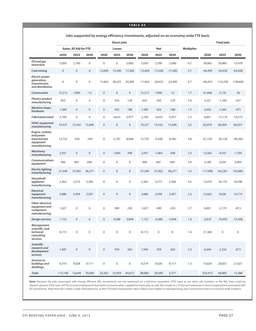#### **TABLE A5**

|                                                                             |                  |                              |                  |                     | <b>Direct jobs</b> |                  |           |                  |                  |                   | <b>Total jobs</b> |             |             |
|-----------------------------------------------------------------------------|------------------|------------------------------|------------------|---------------------|--------------------|------------------|-----------|------------------|------------------|-------------------|-------------------|-------------|-------------|
|                                                                             |                  | <b>Gains, EE Adj for FTE</b> |                  |                     | Losses             |                  |           | <b>Net</b>       |                  | <b>Multiplier</b> |                   |             |             |
|                                                                             | 2020             | 2025                         | 2030             | 2020                | 2025               | 2030             | 2020      | 2025             | 2030             |                   | 2020              | 2025        | 2030        |
| Oil and gas<br>extraction                                                   | 5,050            | 2,700                        | $\boldsymbol{0}$ | $\mathbf 0$         | $\mathbf 0$        | 2,000            | 5,050     | 2,700            | $-2,000$         | 6.7               | 39,063            | 20,885      | $-15,470$   |
| Coal mining                                                                 | $\boldsymbol{0}$ | $\mathbf 0$                  | $\boldsymbol{0}$ | 12,600              | 15,300             | 17,300           | $-12,600$ | $-15,300$        | $-17,300$        | 2.7               | $-46,495$         | $-56,458$   | $-63,838$   |
| Electric power<br>generation,<br>transmission,<br>and distribution          | $\mathbf 0$      | $\mathbf 0$                  | $\boldsymbol{0}$ | 11,663              | 20,425             | 24,300           | $-11,663$ | $-20,425$        | $-24,300$        | 4.7               | $-66,423$         | $-116,330$  | $-138,400$  |
| Construction                                                                | 15,213           | 1,890                        | $-13$            | $\mathbf 0$         | $\boldsymbol{0}$   | $\boldsymbol{0}$ | 15,213    | 1,890            | $-13$            | 1.7               | 41,668            | 5,176       | $-36$       |
| <b>Plastics product</b><br>manufacturing                                    | 953              | $\mathbf 0$                  | $\boldsymbol{0}$ | 0                   | 345                | 129              | 953       | $-345$           | $-129$           | 2.4               | 3,227             | $-1,169$    | $-437$      |
| <b>Machine shops:</b><br>hardware                                           | 1,389            | $\mathbf 0$                  | $\boldsymbol{0}$ | $\mathbf 0$         | 503                | 188              | 1,389     | $-503$           | $-188$           | 1.5               | 3,492             | $-1,265$    | $-473$      |
| <b>Fabricated metal</b>                                                     | 2,104            | $\mathbf 0$                  | $\mathbf 0$      | 0                   | 4,633              | 5,977            | 2,104     | $-4,633$         | $-5,977$         | 2.3               | 6,891             | $-15,174$   | $-19,575$   |
| <b>HVAC</b> equipment<br>manufacturing                                      | 19,327           | 15,542                       | 15,696           | $\mathbf 0$         | $\boldsymbol{0}$   | $\boldsymbol{0}$ | 19,327    | 15,542           | 15,696           | 3.2               | 82,079            | 66,004      | 66,657      |
| Engine, turbine,<br>and power<br>transmission<br>equipment<br>manufacturing | 12,732           | $-330$                       | $-334$           | 0                   | 5,107              | 8,048            | 12,732    | $-5,438$         | $-8,382$         | 3.8               | 61,158            | $-26,120$   | $-40,264$   |
| <b>Machinery</b><br>manufacturina                                           | 2,937            | $\mathbf 0$                  | $\boldsymbol{0}$ | $\mathbf 0$         | 1,064              | 398              | 2,937     | $-1,064$         | $-398$           | 3.3               | 12,582            | $-4,557$    | $-1,704$    |
| <b>Communications</b><br>equipment                                          | 496              | 687                          | 694              | 0                   | $\mathbf 0$        | $\boldsymbol{0}$ | 496       | 687              | 694              | 3.4               | 2,189             | 3,034       | 3,064       |
| <b>Electric lighting</b><br>manufacturing                                   | 27,349           | 37,902                       | 38,277           | $\mathbf 0$         | $\boldsymbol{0}$   | $\boldsymbol{0}$ | 27,349    | 37,902           | 38,277           | 3.3               | 117,098           | 162,281     | 163,885     |
| Household<br>appliance<br>manufacturing                                     | 2,362            | 3,273                        | 3,306            | $\mathbf 0$         | $\mathbf{0}$       | $\boldsymbol{0}$ | 2,362     | 3,273            | 3,306            | 4.5               | 13,074            | 18,119      | 18,298      |
| <b>Electrical</b><br>equipment<br>manufacturing                             | 3,886            | 2,958                        | 3,307            | $\mathbf 0$         | $\boldsymbol{0}$   | $\boldsymbol{0}$ | 3,886     | 2,958            | 3,307            | 2.3               | 12,662            | 9,636       | 10,774      |
| Other electrical<br>equipment and<br>component<br>manufacturing             | 1,627            | $\boldsymbol{0}$             | $\boldsymbol{0}$ | $\mathbf 0$         | 589                | 220              | 1,627     | $-589$           | $-220$           | 2.7               | 6,001             | $-2,174$    | $-813$      |
| <b>Design services</b>                                                      | 1,152            | $\mathbf 0$                  | $\mathbf 0$      | $\mathbf 0$         | 4,288              | 5,848            | 1,152     | $-4,288$         | $-5,848$         | 1.4               | 2,818             | $-10,492$   | $-14,308$   |
| Management,<br>scientific, and<br>technical<br>consulting<br>services       | 8,113            | $\mathbf 0$                  | $\boldsymbol{0}$ | $\mathbf 0$         | $\mathbf 0$        | $\boldsymbol{0}$ | 8,113     | $\boldsymbol{0}$ | $\boldsymbol{0}$ | 1.6               | 21,364            | $\mathbf 0$ | $\mathbf 0$ |
| <b>Scientific</b><br>research and<br>development<br>services                | 1,945            | $\mathbf 0$                  | $\boldsymbol{0}$ | $\mathsf{O}\xspace$ | 704                | 263              | 1,945     | $-704$           | $-263$           | 2.3               | 6,444             | $-2,334$    | $-873$      |
| Services to<br>buildings and<br>dwellings                                   | 6,514            | 9,028                        | 9,117            | $\mathbf 0$         | $\boldsymbol{0}$   | $\boldsymbol{0}$ | 6,514     | 9,028            | 9,117            | 1.3               | 15,024            | 20,821      | 21,027      |
| <b>Total</b>                                                                | 113,148          | 73,649                       | 70,049           | 24,263              | 52,959             | 64,672           | 88,885    | 20,690           | 5,377            |                   | 333,915           | 69,885      | $-12,486$   |

#### **Jobs supported by energy efficiency investments, adjusted on an economy-wide FTE basis**

**Note:** Because the jobs associated with Energy Efficient (EE) investments are not expressed on a full-time equivalent (FTE) basis as are other job numbers in the RIA, they could be skewed upward. If the ratio of FTEsto total employment that holds economy-wide is applied to these jobs as well, thisresultsin a 10 percent reduction in direct employment associated with EE investments. Note that this is likely a high estimated loss, as the FTE/total employment ratio is likely much higher in manufacturing and construction than in economy-wide numbers.